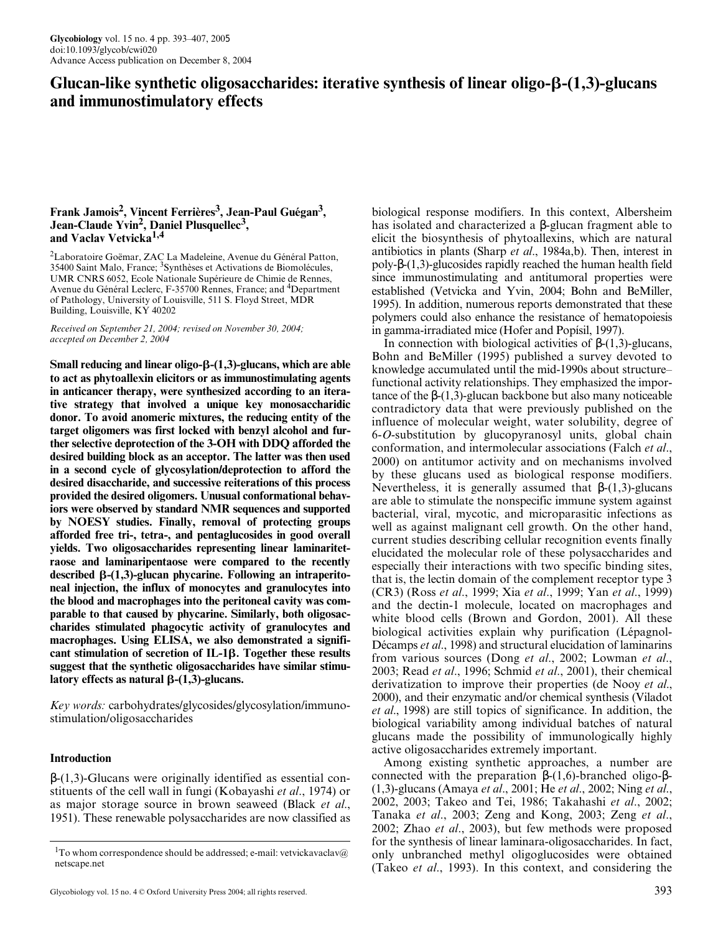# **Glucan-like synthetic oligosaccharides: iterative synthesis of linear oligo--(1,3)-glucans and immunostimulatory effects**

# **Frank Jamois2, Vincent Ferrières3, Jean-Paul Guégan3 , Jean-Claude Yvin<sup>2</sup> , Daniel Plusquellec<sup>3</sup> , and Vaclav Vetvicka1,4**

<sup>2</sup>Laboratoire Goëmar, ZAC La Madeleine, Avenue du Général Patton, 35400 Saint Malo, France; <sup>3</sup>Synthèses et Activations de Biomolécules, UMR CNRS 6052, Ecole Nationale Supérieure de Chimie de Rennes, Avenue du Général Leclerc, F-35700 Rennes, France; and <sup>4</sup>Department of Pathology, University of Louisville, 511 S. Floyd Street, MDR Building, Louisville, KY 40202

*Received on September 21, 2004; revised on November 30, 2004; accepted on December 2, 2004*

**Small reducing and linear oligo-β-(1,3)-glucans, which are able to act as phytoallexin elicitors or as immunostimulating agents in anticancer therapy, were synthesized according to an iterative strategy that involved a unique key monosaccharidic donor. To avoid anomeric mixtures, the reducing entity of the target oligomers was first locked with benzyl alcohol and further selective deprotection of the 3-OH with DDQ afforded the desired building block as an acceptor. The latter was then used in a second cycle of glycosylation/deprotection to afford the desired disaccharide, and successive reiterations of this process provided the desired oligomers. Unusual conformational behaviors were observed by standard NMR sequences and supported by NOESY studies. Finally, removal of protecting groups afforded free tri-, tetra-, and pentaglucosides in good overall yields. Two oligosaccharides representing linear laminaritetraose and laminaripentaose were compared to the recently** described β-(1,3)-glucan phycarine. Following an intraperito**neal injection, the influx of monocytes and granulocytes into the blood and macrophages into the peritoneal cavity was comparable to that caused by phycarine. Similarly, both oligosaccharides stimulated phagocytic activity of granulocytes and macrophages. Using ELISA, we also demonstrated a significant stimulation of secretion of IL-1. Together these results suggest that the synthetic oligosaccharides have similar stimu**latory effects as natural  $\beta$ -(1,3)-glucans.

*Key words:* carbohydrates/glycosides/glycosylation/immunostimulation/oligosaccharides

# **Introduction**

β-(1,3)-Glucans were originally identified as essential constituents of the cell wall in fungi (Kobayashi *et al*., 1974) or as major storage source in brown seaweed (Black *et al*., 1951). These renewable polysaccharides are now classified as

biological response modifiers. In this context, Albersheim has isolated and characterized a β-glucan fragment able to elicit the biosynthesis of phytoallexins, which are natural antibiotics in plants (Sharp *et al*., 1984a,b). Then, interest in poly-β-(1,3)-glucosides rapidly reached the human health field since immunostimulating and antitumoral properties were established (Vetvicka and Yvin, 2004; Bohn and BeMiller, 1995). In addition, numerous reports demonstrated that these polymers could also enhance the resistance of hematopoiesis in gamma-irradiated mice (Hofer and Popísil, 1997).

In connection with biological activities of β-(1,3)-glucans, Bohn and BeMiller (1995) published a survey devoted to knowledge accumulated until the mid-1990s about structure– functional activity relationships. They emphasized the importance of the β-(1,3)-glucan backbone but also many noticeable contradictory data that were previously published on the influence of molecular weight, water solubility, degree of 6-*O*-substitution by glucopyranosyl units, global chain conformation, and intermolecular associations (Falch *et al*., 2000) on antitumor activity and on mechanisms involved by these glucans used as biological response modifiers. Nevertheless, it is generally assumed that  $\beta$ -(1,3)-glucans are able to stimulate the nonspecific immune system against bacterial, viral, mycotic, and microparasitic infections as well as against malignant cell growth. On the other hand, current studies describing cellular recognition events finally elucidated the molecular role of these polysaccharides and especially their interactions with two specific binding sites, that is, the lectin domain of the complement receptor type 3 (CR3) (Ross *et al*., 1999; Xia *et al*., 1999; Yan *et al*., 1999) and the dectin-1 molecule, located on macrophages and white blood cells (Brown and Gordon, 2001). All these biological activities explain why purification (Lépagnol-Décamps *et al*., 1998) and structural elucidation of laminarins from various sources (Dong *et al*., 2002; Lowman *et al*., 2003; Read *et al*., 1996; Schmid *et al*., 2001), their chemical derivatization to improve their properties (de Nooy *et al*., 2000), and their enzymatic and/or chemical synthesis (Viladot *et al*., 1998) are still topics of significance. In addition, the biological variability among individual batches of natural glucans made the possibility of immunologically highly active oligosaccharides extremely important.

Among existing synthetic approaches, a number are connected with the preparation  $β-(1,6)$ -branched oligo- $β$ -(1,3)-glucans (Amaya *et al*., 2001; He *et al*., 2002; Ning *et al*., 2002, 2003; Takeo and Tei, 1986; Takahashi *et al*., 2002; Tanaka *et al*., 2003; Zeng and Kong, 2003; Zeng *et al*., 2002; Zhao *et al*., 2003), but few methods were proposed for the synthesis of linear laminara-oligosaccharides. In fact, only unbranched methyl oligoglucosides were obtained (Takeo *et al*., 1993). In this context, and considering the

<sup>&</sup>lt;sup>1</sup>To whom correspondence should be addressed; e-mail: vetvickavaclav@ netscape.net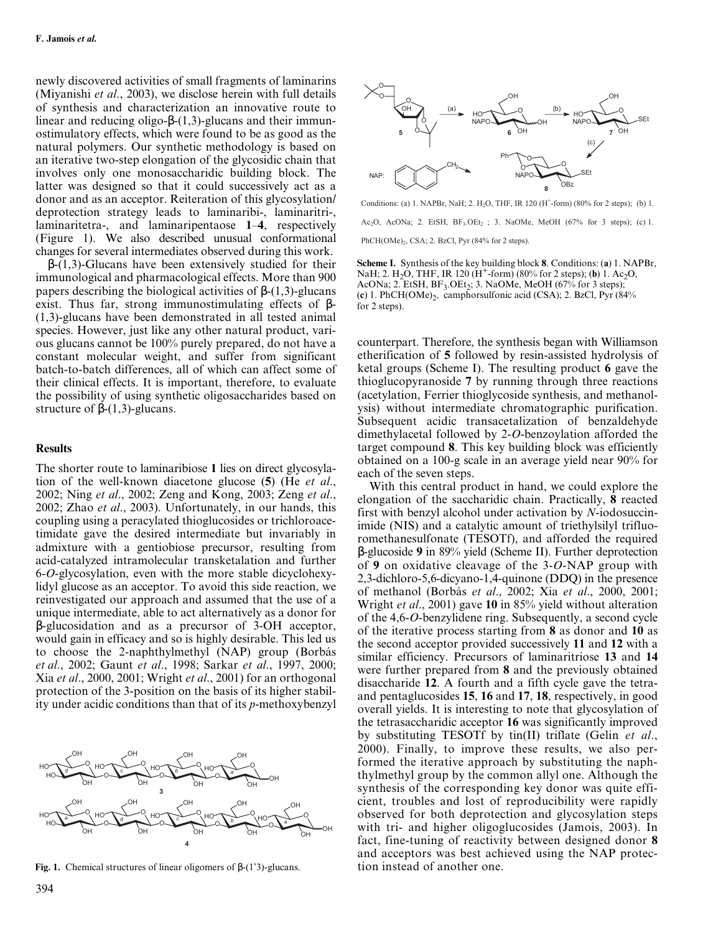newly discovered activities of small fragments of laminarins (Miyanishi *et al*., 2003), we disclose herein with full details of synthesis and characterization an innovative route to linear and reducing oligo-β-(1,3)-glucans and their immunostimulatory effects, which were found to be as good as the natural polymers. Our synthetic methodology is based on an iterative two-step elongation of the glycosidic chain that involves only one monosaccharidic building block. The latter was designed so that it could successively act as a donor and as an acceptor. Reiteration of this glycosylation/ deprotection strategy leads to laminaribi-, laminaritri-, laminaritetra-, and laminaripentaose **1**–**4**, respectively (Figure 1). We also described unusual conformational changes for several intermediates observed during this work.

 $β-(1,3)$ -Glucans have been extensively studied for their immunological and pharmacological effects. More than 900 papers describing the biological activities of β-(1,3)-glucans exist. Thus far, strong immunostimulating effects of  $\beta$ -(1,3)-glucans have been demonstrated in all tested animal species. However, just like any other natural product, various glucans cannot be 100% purely prepared, do not have a constant molecular weight, and suffer from significant batch-to-batch differences, all of which can affect some of their clinical effects. It is important, therefore, to evaluate the possibility of using synthetic oligosaccharides based on structure of  $\beta$ -(1,3)-glucans.

#### **Results**

The shorter route to laminaribiose **1** lies on direct glycosylation of the well-known diacetone glucose (**5**) (He *et al*., 2002; Ning *et al*., 2002; Zeng and Kong, 2003; Zeng *et al*., 2002; Zhao *et al*., 2003). Unfortunately, in our hands, this coupling using a peracylated thioglucosides or trichloroacetimidate gave the desired intermediate but invariably in admixture with a gentiobiose precursor, resulting from acid-catalyzed intramolecular transketalation and further 6-*O*-glycosylation, even with the more stable dicyclohexylidyl glucose as an acceptor. To avoid this side reaction, we reinvestigated our approach and assumed that the use of a unique intermediate, able to act alternatively as a donor for β-glucosidation and as a precursor of 3-OH acceptor, would gain in efficacy and so is highly desirable. This led us to choose the 2-naphthylmethyl (NAP) group (Borbás *et al*., 2002; Gaunt *et al*., 1998; Sarkar *et al*., 1997, 2000; Xia *et al*., 2000, 2001; Wright *et al*., 2001) for an orthogonal protection of the 3-position on the basis of its higher stability under acidic conditions than that of its *p*-methoxybenzyl



**Fig. 1.** Chemical structures of linear oligomers of β-(1'3)-glucans. tion instead of another one.



Conditions: (a) 1. NAPBr, NaH; 2. H<sub>2</sub>O, THF, IR 120 (H<sup>+</sup>-form) (80% for 2 steps); (b) 1.

Ac<sub>2</sub>O, AcONa; 2. EtSH,  $BF_3.OEt_2$ ; 3. NaOMe, MeOH (67% for 3 steps); (c) 1.

PhCH(OMe)<sub>2</sub>, CSA; 2. BzCl, Pyr (84% for 2 steps).

**Scheme I.** Synthesis of the key building block **8**. Conditions: (**a**) 1. NAPBr, NaH; 2. H<sub>2</sub>O, THF, IR 120 (H<sup>+</sup>-form) (80% for 2 steps); (**b**) 1. Ac<sub>2</sub>O, AcONa; 2. EtSH,  $BF_3$ .OEt<sub>2</sub>; 3. NaOMe, MeOH (67% for 3 steps); (c) 1. PhCH(OMe)<sub>2</sub>, camphorsulfonic acid (CSA); 2. BzCl, Pyr (84%) for 2 steps).

counterpart. Therefore, the synthesis began with Williamson etherification of **5** followed by resin-assisted hydrolysis of ketal groups (Scheme I). The resulting product **6** gave the thioglucopyranoside **7** by running through three reactions (acetylation, Ferrier thioglycoside synthesis, and methanolysis) without intermediate chromatographic purification. Subsequent acidic transacetalization of benzaldehyde dimethylacetal followed by 2-*O*-benzoylation afforded the target compound **8**. This key building block was efficiently obtained on a 100-g scale in an average yield near 90% for each of the seven steps.

With this central product in hand, we could explore the elongation of the saccharidic chain. Practically, **8** reacted first with benzyl alcohol under activation by *N*-iodosuccinimide (NIS) and a catalytic amount of triethylsilyl trifluoromethanesulfonate (TESOTf), and afforded the required β-glucoside **9** in 89% yield (Scheme II). Further deprotection of **9** on oxidative cleavage of the 3-*O*-NAP group with 2,3-dichloro-5,6-dicyano-1,4-quinone (DDQ) in the presence of methanol (Borbás *et al*., 2002; Xia *et al*., 2000, 2001; Wright *et al*., 2001) gave **10** in 85% yield without alteration of the 4,6-*O*-benzylidene ring. Subsequently, a second cycle of the iterative process starting from **8** as donor and **10** as the second acceptor provided successively **11** and **12** with a similar efficiency. Precursors of laminaritriose **13** and **14** were further prepared from **8** and the previously obtained disaccharide **12**. A fourth and a fifth cycle gave the tetraand pentaglucosides **15**, **16** and **17**, **18**, respectively, in good overall yields. It is interesting to note that glycosylation of the tetrasaccharidic acceptor **16** was significantly improved by substituting TESOTf by tin(II) triflate (Gelin *et al*., 2000). Finally, to improve these results, we also performed the iterative approach by substituting the naphthylmethyl group by the common allyl one. Although the synthesis of the corresponding key donor was quite efficient, troubles and lost of reproducibility were rapidly observed for both deprotection and glycosylation steps with tri- and higher oligoglucosides (Jamois, 2003). In fact, fine-tuning of reactivity between designed donor **8** and acceptors was best achieved using the NAP protec-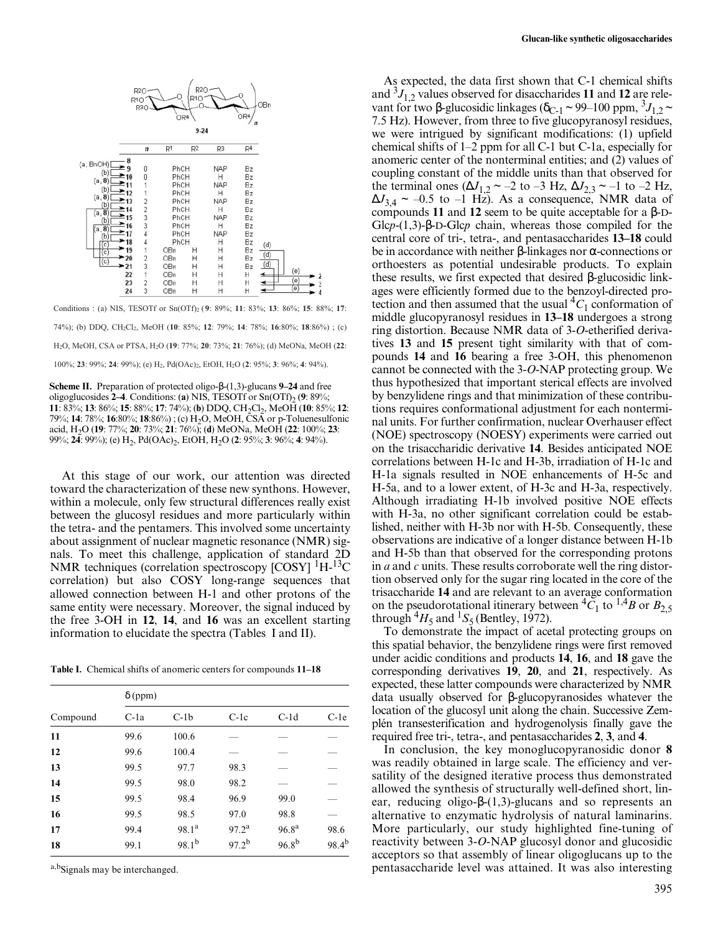

Conditions : (a) NIS, TESOTf or Sn(OTf)2 ( **9**: 89%; **11**: 83%; **13**: 86%; **15**: 88%; **17**: 74%); (b) DDQ, CH2Cl2, MeOH (**10**: 85%; **12**: 79%; **14**: 78%; **16**:80%; **18**:86%) ; (c) H2O, MeOH, CSA or PTSA, H2O (**19**: 77%; **20**: 73%; **21**: 76%); (d) MeONa, MeOH (**22**: 100%; **23**: 99%; **24**: 99%); (e) H2, Pd(OAc)2, EtOH, H2O (**2**: 95%; **3**: 96%; **4**: 94%).

**Scheme II.** Preparation of protected oligo-β-(1,3)-glucans **9–24** and free oligoglucosides **2–4**. Conditions: (**a**) NIS, TESOTf or Sn(OTf)<sub>2</sub> (**9**: 89%; **11**: 83%; **13**: 86%; **15**: 88%; **17**: 74%); **(b)** DDQ, CH<sub>2</sub>Cl<sub>2</sub>, MeOH (**10**: 85%; **12**: 79%; **14**: 78%; **16**:80%; **18**:86%) ; (c) H2O, MeOH, CSA or p-Toluenesulfonic acid, H2O (**19**: 77%; **20**: 73%; **21**: 76%); (**d**) MeONa, MeOH (**22**: 100%; **23**: 99%; **24**: 99%); (e) H<sub>2</sub>, Pd(OAc)<sub>2</sub>, EtOH, H<sub>2</sub>O (**2**: 95%; **3**: 96%; **4**: 94%).

At this stage of our work, our attention was directed toward the characterization of these new synthons. However, within a molecule, only few structural differences really exist between the glucosyl residues and more particularly within the tetra- and the pentamers. This involved some uncertainty about assignment of nuclear magnetic resonance (NMR) signals. To meet this challenge, application of standard 2D NMR techniques (correlation spectroscopy [COSY] <sup>1</sup>H-<sup>13</sup>C correlation) but also COSY long-range sequences that allowed connection between H-1 and other protons of the same entity were necessary. Moreover, the signal induced by the free 3-OH in **12**, **14**, and **16** was an excellent starting information to elucidate the spectra (Tables I and II).

**Table I.** Chemical shifts of anomeric centers for compounds **11–18**

|          | $\delta$ (ppm) |                   |                   |                   |            |
|----------|----------------|-------------------|-------------------|-------------------|------------|
| Compound | $C$ -la        | $C-1b$            | $C-1c$            | $C-1d$            | $C-1e$     |
| 11       | 99.6           | 100.6             |                   |                   |            |
| 12       | 99.6           | 100.4             |                   |                   |            |
| 13       | 99.5           | 97.7              | 98.3              |                   |            |
| 14       | 99.5           | 98.0              | 98.2              |                   |            |
| 15       | 99.5           | 98.4              | 96.9              | 99.0              |            |
| 16       | 99.5           | 98.5              | 97.0              | 98.8              |            |
| 17       | 99.4           | 98.1 <sup>a</sup> | 97.2 <sup>a</sup> | 96.8 <sup>a</sup> | 98.6       |
| 18       | 99.1           | $98.1^{b}$        | $97.2^{b}$        | $96.8^{b}$        | $98.4^{b}$ |

a,b<sub>Signals</sub> may be interchanged.

As expected, the data first shown that C-1 chemical shifts and  ${}^{3}J_{1,2}$  values observed for disaccharides 11 and 12 are relevant for two β-glucosidic linkages ( $\delta_{C-1}$  ~ 99–100 ppm,  ${}^{3}J_{1,2}$  ~ 7.5 Hz). However, from three to five glucopyranosyl residues, we were intrigued by significant modifications: (1) upfield chemical shifts of 1–2 ppm for all C-1 but C-1a, especially for anomeric center of the nonterminal entities; and (2) values of coupling constant of the middle units than that observed for the terminal ones ( $\Delta J_{1,2}$  ~ –2 to –3 Hz,  $\Delta J_{2,3}$  ~ –1 to –2 Hz,  $\Delta J_{3,4} \sim -0.5$  to  $-1$  Hz). As a consequence, NMR data of compounds **11** and **12** seem to be quite acceptable for a β-D-Glc*p*-(1,3)-β-D-Glc*p* chain, whereas those compiled for the central core of tri-, tetra-, and pentasaccharides **13–18** could be in accordance with neither β-linkages nor α-connections or orthoesters as potential undesirable products. To explain these results, we first expected that desired β-glucosidic linkages were efficiently formed due to the benzoyl-directed protection and then assumed that the usual  ${}^4C_1$  conformation of middle glucopyranosyl residues in **13–18** undergoes a strong ring distortion. Because NMR data of 3-*O*-etherified derivatives **13** and **15** present tight similarity with that of compounds **14** and **16** bearing a free 3-OH, this phenomenon cannot be connected with the 3-*O*-NAP protecting group. We thus hypothesized that important sterical effects are involved by benzylidene rings and that minimization of these contributions requires conformational adjustment for each nonterminal units. For further confirmation, nuclear Overhauser effect (NOE) spectroscopy (NOESY) experiments were carried out on the trisaccharidic derivative **14**. Besides anticipated NOE correlations between H-1c and H-3b, irradiation of H-1c and H-1a signals resulted in NOE enhancements of H-5c and H-5a, and to a lower extent, of H-3c and H-3a, respectively. Although irradiating H-1b involved positive NOE effects with H-3a, no other significant correlation could be established, neither with H-3b nor with H-5b. Consequently, these observations are indicative of a longer distance between H-1b and H-5b than that observed for the corresponding protons in *a* and *c* units. These results corroborate well the ring distortion observed only for the sugar ring located in the core of the trisaccharide **14** and are relevant to an average conformation on the pseudorotational itinerary between  ${}^{4}C_{1}$  to  ${}^{1,4}B$  or  $B_{2,5}$ through  ${}^4H_5$  and  ${}^1S_5$  (Bentley, 1972).

To demonstrate the impact of acetal protecting groups on this spatial behavior, the benzylidene rings were first removed under acidic conditions and products **14**, **16**, and **18** gave the corresponding derivatives **19**, **20**, and **21**, respectively. As expected, these latter compounds were characterized by NMR data usually observed for β-glucopyranosides whatever the location of the glucosyl unit along the chain. Successive Zemplén transesterification and hydrogenolysis finally gave the required free tri-, tetra-, and pentasaccharides **2**, **3**, and **4**.

In conclusion, the key monoglucopyranosidic donor **8** was readily obtained in large scale. The efficiency and versatility of the designed iterative process thus demonstrated allowed the synthesis of structurally well-defined short, linear, reducing oligo-β-(1,3)-glucans and so represents an alternative to enzymatic hydrolysis of natural laminarins. More particularly, our study highlighted fine-tuning of reactivity between 3-*O*-NAP glucosyl donor and glucosidic acceptors so that assembly of linear oligoglucans up to the pentasaccharide level was attained. It was also interesting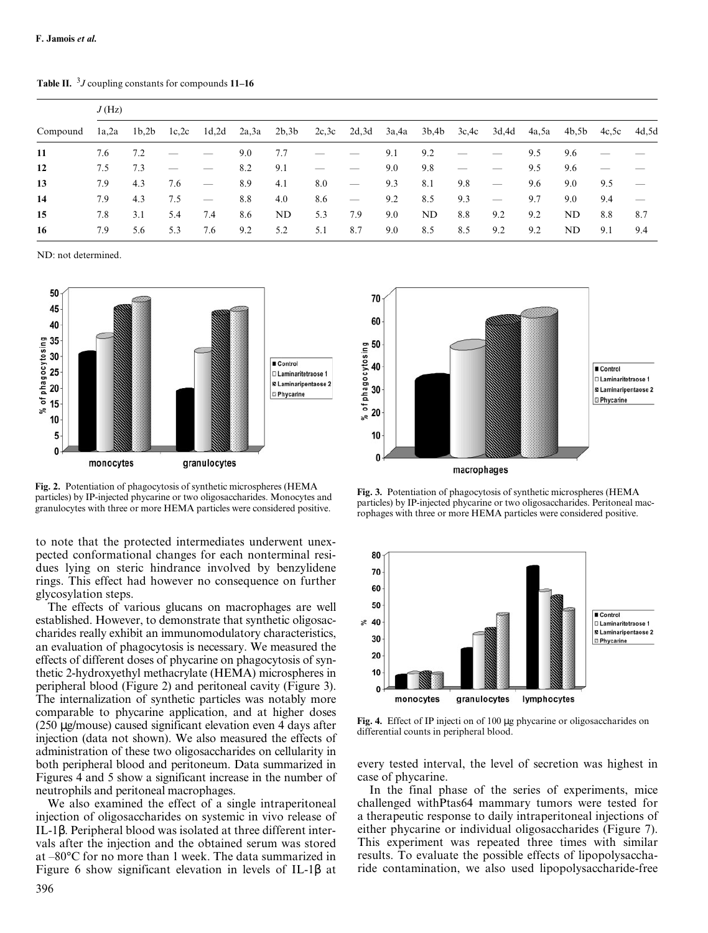**Table II.** <sup>3</sup> *J* coupling constants for compounds **11–16**

|          | J(Hz) |       |        |                                 |       |                   |     |     |     |             |        |                          |     |                         |     |                                 |
|----------|-------|-------|--------|---------------------------------|-------|-------------------|-----|-----|-----|-------------|--------|--------------------------|-----|-------------------------|-----|---------------------------------|
| Compound | 1a,2a | 1b,2b | 1c, 2c | 1d,2d                           | 2a,3a | 2b,3b 2c,3c 2d,3d |     |     |     | 3a,4a 3b,4b | 3c, 4c | 3d,4d                    |     | 4a,5a 4b,5b 4c,5c 4d,5d |     |                                 |
| 11       | 7.6   | 7.2   |        |                                 | 9.0   | 7.7               |     |     | 9.1 | 9.2         |        |                          | 9.5 | 9.6                     |     |                                 |
| 12       | 7.5   | 7.3   |        |                                 | 8.2   | 9.1               |     |     | 9.0 | 9.8         |        |                          | 9.5 | 9.6                     |     |                                 |
| 13       | 7.9   | 4.3   | 7.6    | $\hspace{0.1mm}-\hspace{0.1mm}$ | 8.9   | 4.1               | 8.0 |     | 9.3 | 8.1         | 9.8    | $\overline{\phantom{m}}$ | 9.6 | 9.0                     | 9.5 |                                 |
| 14       | 7.9   | 4.3   | 7.5    | $\overbrace{\phantom{12333}}$   | 8.8   | 4.0               | 8.6 |     | 9.2 | 8.5         | 9.3    | $\overline{\phantom{0}}$ | 9.7 | 9.0                     | 9.4 | $\overbrace{\qquad \qquad }^{}$ |
| 15       | 7.8   | 3.1   | 5.4    | 7.4                             | 8.6   | ND                | 5.3 | 7.9 | 9.0 | ND.         | 8.8    | 9.2                      | 9.2 | ND                      | 8.8 | 8.7                             |
| 16       | 7.9   | 5.6   | 5.3    | 7.6                             | 9.2   | 5.2               | 5.1 | 8.7 | 9.0 | 8.5         | 8.5    | 9.2                      | 9.2 | ND.                     | 9.1 | 9.4                             |

ND: not determined.



**Fig. 2.** Potentiation of phagocytosis of synthetic microspheres (HEMA particles) by IP-injected phycarine or two oligosaccharides. Monocytes and granulocytes with three or more HEMA particles were considered positive.

to note that the protected intermediates underwent unexpected conformational changes for each nonterminal residues lying on steric hindrance involved by benzylidene rings. This effect had however no consequence on further glycosylation steps.

The effects of various glucans on macrophages are well established. However, to demonstrate that synthetic oligosaccharides really exhibit an immunomodulatory characteristics, an evaluation of phagocytosis is necessary. We measured the effects of different doses of phycarine on phagocytosis of synthetic 2-hydroxyethyl methacrylate (HEMA) microspheres in peripheral blood (Figure 2) and peritoneal cavity (Figure 3). The internalization of synthetic particles was notably more comparable to phycarine application, and at higher doses (250 µg/mouse) caused significant elevation even 4 days after injection (data not shown). We also measured the effects of administration of these two oligosaccharides on cellularity in both peripheral blood and peritoneum. Data summarized in Figures 4 and 5 show a significant increase in the number of neutrophils and peritoneal macrophages.

We also examined the effect of a single intraperitoneal injection of oligosaccharides on systemic in vivo release of IL-1β. Peripheral blood was isolated at three different intervals after the injection and the obtained serum was stored at –80°C for no more than 1 week. The data summarized in Figure 6 show significant elevation in levels of IL-1β at



**Fig. 3.** Potentiation of phagocytosis of synthetic microspheres (HEMA particles) by IP-injected phycarine or two oligosaccharides. Peritoneal macrophages with three or more HEMA particles were considered positive.



**Fig. 4.** Effect of IP injecti on of 100 µg phycarine or oligosaccharides on differential counts in peripheral blood.

every tested interval, the level of secretion was highest in case of phycarine.

In the final phase of the series of experiments, mice challenged withPtas64 mammary tumors were tested for a therapeutic response to daily intraperitoneal injections of either phycarine or individual oligosaccharides (Figure 7). This experiment was repeated three times with similar results. To evaluate the possible effects of lipopolysaccharide contamination, we also used lipopolysaccharide-free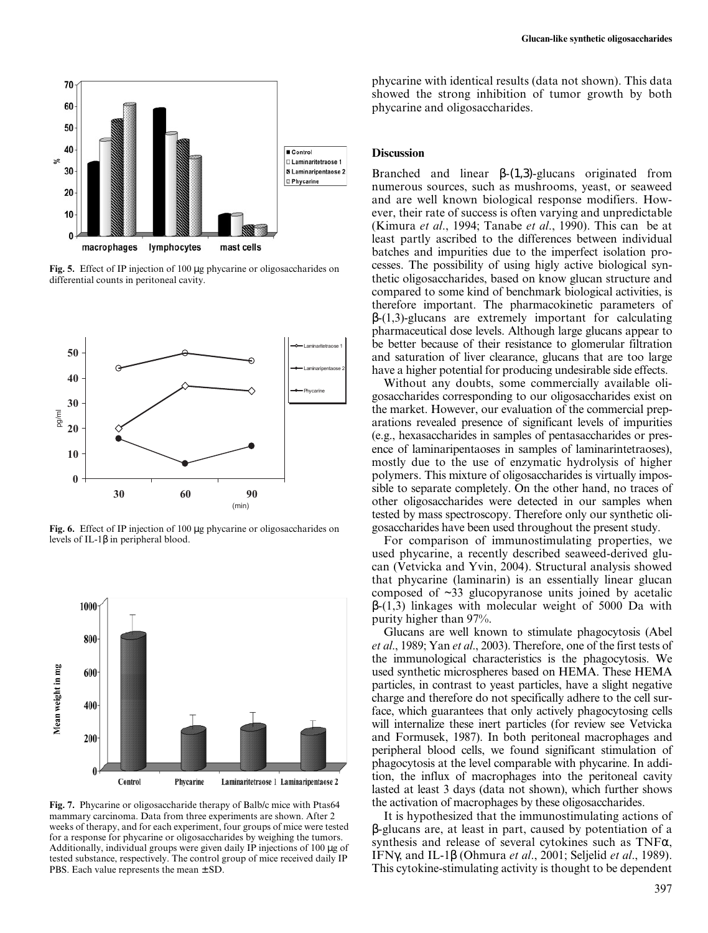

**Fig. 5.** Effect of IP injection of 100 µg phycarine or oligosaccharides on differential counts in peritoneal cavity.



**Fig. 6.** Effect of IP injection of 100 µg phycarine or oligosaccharides on levels of IL-1β in peripheral blood.



**Fig. 7.** Phycarine or oligosaccharide therapy of Balb/c mice with Ptas64 mammary carcinoma. Data from three experiments are shown. After 2 weeks of therapy, and for each experiment, four groups of mice were tested for a response for phycarine or oligosaccharides by weighing the tumors. Additionally, individual groups were given daily IP injections of 100 µg of tested substance, respectively. The control group of mice received daily IP PBS. Each value represents the mean  $\pm$  SD.

phycarine with identical results (data not shown). This data showed the strong inhibition of tumor growth by both phycarine and oligosaccharides.

#### **Discussion**

Branched and linear  $β-(1,3)$ -glucans originated from numerous sources, such as mushrooms, yeast, or seaweed and are well known biological response modifiers. However, their rate of success is often varying and unpredictable (Kimura *et al*., 1994; Tanabe *et al*., 1990). This can be at least partly ascribed to the differences between individual batches and impurities due to the imperfect isolation processes. The possibility of using higly active biological synthetic oligosaccharides, based on know glucan structure and compared to some kind of benchmark biological activities, is therefore important. The pharmacokinetic parameters of  $\beta$ -(1,3)-glucans are extremely important for calculating pharmaceutical dose levels. Although large glucans appear to be better because of their resistance to glomerular filtration and saturation of liver clearance, glucans that are too large have a higher potential for producing undesirable side effects.

Without any doubts, some commercially available oligosaccharides corresponding to our oligosaccharides exist on the market. However, our evaluation of the commercial preparations revealed presence of significant levels of impurities (e.g., hexasaccharides in samples of pentasaccharides or presence of laminaripentaoses in samples of laminarintetraoses), mostly due to the use of enzymatic hydrolysis of higher polymers. This mixture of oligosaccharides is virtually impossible to separate completely. On the other hand, no traces of other oligosaccharides were detected in our samples when tested by mass spectroscopy. Therefore only our synthetic oligosaccharides have been used throughout the present study.

For comparison of immunostimulating properties, we used phycarine, a recently described seaweed-derived glucan (Vetvicka and Yvin, 2004). Structural analysis showed that phycarine (laminarin) is an essentially linear glucan composed of ~33 glucopyranose units joined by acetalic β-(1,3) linkages with molecular weight of 5000 Da with purity higher than 97%.

Glucans are well known to stimulate phagocytosis (Abel *et al*., 1989; Yan *et al*., 2003). Therefore, one of the first tests of the immunological characteristics is the phagocytosis. We used synthetic microspheres based on HEMA. These HEMA particles, in contrast to yeast particles, have a slight negative charge and therefore do not specifically adhere to the cell surface, which guarantees that only actively phagocytosing cells will internalize these inert particles (for review see Vetvicka and Formusek, 1987). In both peritoneal macrophages and peripheral blood cells, we found significant stimulation of phagocytosis at the level comparable with phycarine. In addition, the influx of macrophages into the peritoneal cavity lasted at least 3 days (data not shown), which further shows the activation of macrophages by these oligosaccharides.

It is hypothesized that the immunostimulating actions of β-glucans are, at least in part, caused by potentiation of a synthesis and release of several cytokines such as  $TNF\alpha$ , IFNγ, and IL-1β (Ohmura *et al*., 2001; Seljelid *et al*., 1989). This cytokine-stimulating activity is thought to be dependent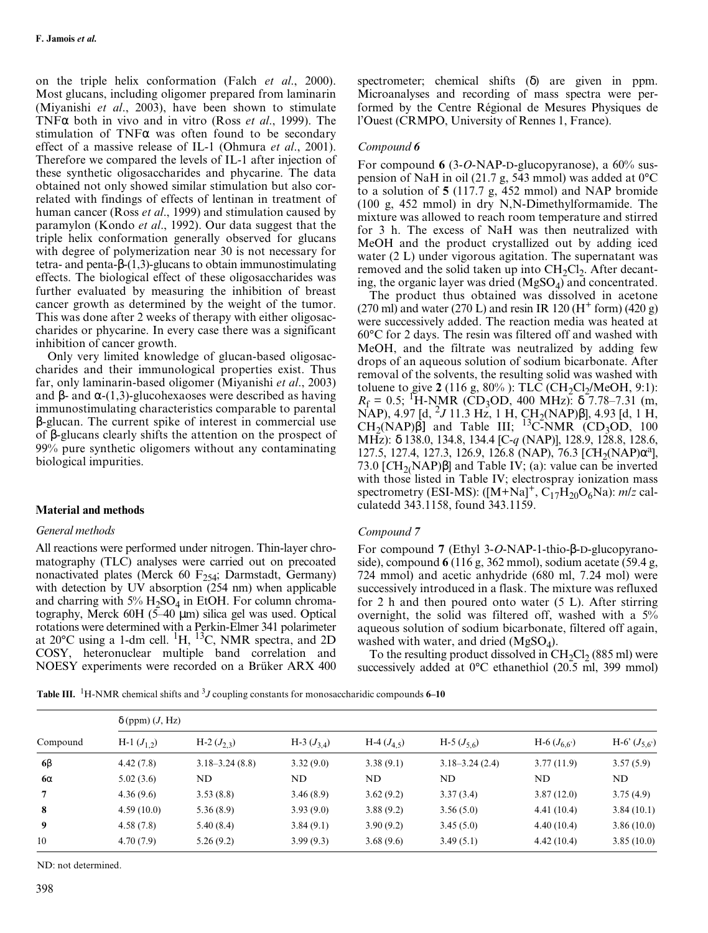on the triple helix conformation (Falch *et al*., 2000). Most glucans, including oligomer prepared from laminarin (Miyanishi *et al*., 2003), have been shown to stimulate TNFα both in vivo and in vitro (Ross *et al*., 1999). The stimulation of TNF $\alpha$  was often found to be secondary effect of a massive release of IL-1 (Ohmura *et al*., 2001). Therefore we compared the levels of IL-1 after injection of these synthetic oligosaccharides and phycarine. The data obtained not only showed similar stimulation but also correlated with findings of effects of lentinan in treatment of human cancer (Ross *et al*., 1999) and stimulation caused by paramylon (Kondo *et al*., 1992). Our data suggest that the triple helix conformation generally observed for glucans with degree of polymerization near 30 is not necessary for tetra- and penta-β-(1,3)-glucans to obtain immunostimulating effects. The biological effect of these oligosaccharides was further evaluated by measuring the inhibition of breast cancer growth as determined by the weight of the tumor. This was done after 2 weeks of therapy with either oligosaccharides or phycarine. In every case there was a significant inhibition of cancer growth.

Only very limited knowledge of glucan-based oligosaccharides and their immunological properties exist. Thus far, only laminarin-based oligomer (Miyanishi *et al*., 2003) and β- and  $\alpha$ -(1,3)-glucohexaoses were described as having immunostimulating characteristics comparable to parental β-glucan. The current spike of interest in commercial use of β-glucans clearly shifts the attention on the prospect of 99% pure synthetic oligomers without any contaminating biological impurities.

# **Material and methods**

## *General methods*

All reactions were performed under nitrogen. Thin-layer chromatography (TLC) analyses were carried out on precoated nonactivated plates (Merck 60  $F_{254}$ ; Darmstadt, Germany) with detection by UV absorption (254 nm) when applicable and charring with  $5\%$  H<sub>2</sub>SO<sub>4</sub> in EtOH. For column chromatography, Merck 60H (5–40 µm) silica gel was used. Optical rotations were determined with a Perkin-Elmer 341 polarimeter at 20 $^{\circ}$ C using a 1-dm cell. <sup>1</sup>H, <sup>13</sup>C, NMR spectra, and 2D COSY, heteronuclear multiple band correlation and NOESY experiments were recorded on a Brüker ARX 400

spectrometer; chemical shifts (δ) are given in ppm. Microanalyses and recording of mass spectra were performed by the Centre Régional de Mesures Physiques de l'Ouest (CRMPO, University of Rennes 1, France).

#### *Compound 6*

For compound **6** (3-*O*-NAP-D-glucopyranose), a 60% suspension of NaH in oil (21.7 g, 543 mmol) was added at 0°C to a solution of **5** (117.7 g, 452 mmol) and NAP bromide (100 g, 452 mmol) in dry N,N-Dimethylformamide. The mixture was allowed to reach room temperature and stirred for 3 h. The excess of NaH was then neutralized with MeOH and the product crystallized out by adding iced water (2 L) under vigorous agitation. The supernatant was removed and the solid taken up into  $CH<sub>2</sub>Cl<sub>2</sub>$ . After decanting, the organic layer was dried  $(MgSO<sub>4</sub>)$  and concentrated.

The product thus obtained was dissolved in acetone (270 ml) and water (270 L) and resin IR 120 ( $H^+$  form) (420 g) were successively added. The reaction media was heated at 60°C for 2 days. The resin was filtered off and washed with MeOH, and the filtrate was neutralized by adding few drops of an aqueous solution of sodium bicarbonate. After removal of the solvents, the resulting solid was washed with toluene to give  $2(116 \text{ g}, 80\%)$ : TLC (CH<sub>2</sub>Cl<sub>2</sub>/MeOH, 9:1):  $R_f = 0.5$ ; <sup>1</sup>H-NMR (CD<sub>3</sub>OD, 400 MHz):  $\delta$  7.78–7.31 (m,  $NAP$ ), 4.97 [d, <sup>2</sup>*J* 11.3 Hz, 1 H, CH<sub>2</sub>(NAP) $\beta$ ], 4.93 [d, 1 H,  $CH<sub>2</sub>(NAP)\hat{\beta}$ ] and Table III; <sup>13</sup>C-NMR (CD<sub>3</sub>OD, 100) MHz): δ 138.0, 134.8, 134.4 [C-*q* (NAP)], 128.9, 128.8, 128.6, 127.5, 127.4, 127.3, 126.9, 126.8 (NAP), 76.3 [CH<sub>2</sub>(NAP)α<sup>a</sup>], 73.0 [ $CH<sub>2</sub>(NAP)$ β] and Table IV; (a): value can be inverted with those listed in Table IV; electrospray ionization mass spectrometry (ESI-MS):  $([M+Na]^+, C_{17}H_{20}O_6Na)$ : *m/z* calculatedd 343.1158, found 343.1159.

#### *Compound 7*

For compound **7** (Ethyl 3-*O*-NAP-1-thio-β-D-glucopyranoside), compound **6** (116 g, 362 mmol), sodium acetate (59.4 g, 724 mmol) and acetic anhydride (680 ml, 7.24 mol) were successively introduced in a flask. The mixture was refluxed for 2 h and then poured onto water (5 L). After stirring overnight, the solid was filtered off, washed with a 5% aqueous solution of sodium bicarbonate, filtered off again, washed with water, and dried  $(MgSO<sub>4</sub>)$ .

To the resulting product dissolved in  $CH_2Cl_2$  (885 ml) were successively added at 0<sup>o</sup>C ethanethiol (20.5 ml, 399 mmol)

**Table III.** <sup>1</sup>H-NMR chemical shifts and <sup>3</sup>J coupling constants for monosaccharidic compounds **6–10** 

|           | $\delta$ (ppm) $(J, Hz)$ |                    |                |                           |                    |                 |                  |
|-----------|--------------------------|--------------------|----------------|---------------------------|--------------------|-----------------|------------------|
| Compound  | H-1 $(J_1)$              | H-2 $(J_{2,3})$    | H-3 $(J_{34})$ | H-4 $(J_4, \, \varsigma)$ | H-5 $(J_{5,6})$    | H-6 $(J_{6,6})$ | H-6' $(J_{5,6})$ |
| $6\beta$  | 4.42(7.8)                | $3.18 - 3.24(8.8)$ | 3.32(9.0)      | 3.38(9.1)                 | $3.18 - 3.24(2.4)$ | 3.77(11.9)      | 3.57(5.9)        |
| $6\alpha$ | 5.02(3.6)                | ND                 | ND             | ND                        | ND.                | ND              | ND.              |
| 7         | 4.36(9.6)                | 3.53(8.8)          | 3.46(8.9)      | 3.62(9.2)                 | 3.37(3.4)          | 3.87(12.0)      | 3.75(4.9)        |
| 8         | 4.59(10.0)               | 5.36(8.9)          | 3.93(9.0)      | 3.88(9.2)                 | 3.56(5.0)          | 4.41(10.4)      | 3.84(10.1)       |
| 9         | 4.58(7.8)                | 5.40(8.4)          | 3.84(9.1)      | 3.90(9.2)                 | 3.45(5.0)          | 4.40(10.4)      | 3.86(10.0)       |
| 10        | 4.70(7.9)                | 5.26(9.2)          | 3.99(9.3)      | 3.68(9.6)                 | 3.49(5.1)          | 4.42(10.4)      | 3.85(10.0)       |

ND: not determined.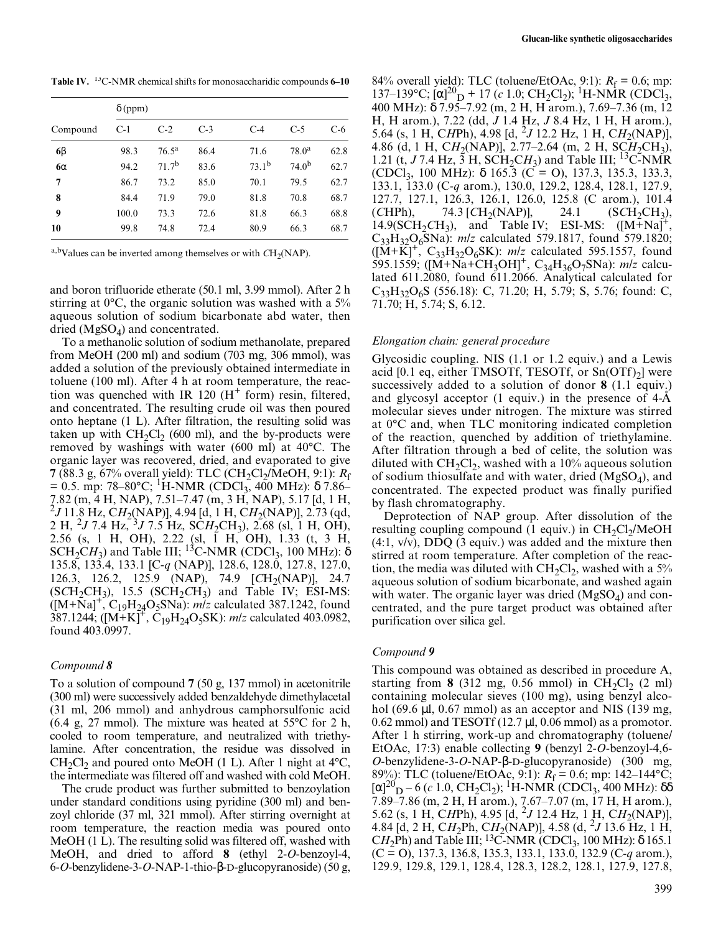**Table IV.** 13C-NMR chemical shifts for monosaccharidic compounds **6–10**

|           | $\delta$ (ppm) |                   |       |                   |                   |       |
|-----------|----------------|-------------------|-------|-------------------|-------------------|-------|
| Compound  | $C-1$          | $C-2$             | $C-3$ | $C-4$             | $C-5$             | $C-6$ |
| $6\beta$  | 98.3           | $76.5^{\rm a}$    | 86.4  | 71.6              | $78.0^{\rm a}$    | 62.8  |
| $6\alpha$ | 94.2           | 71.7 <sup>b</sup> | 83.6  | 73.1 <sup>b</sup> | 74.0 <sup>b</sup> | 62.7  |
| 7         | 86.7           | 73.2              | 85.0  | 70.1              | 79.5              | 62.7  |
| 8         | 84.4           | 71.9              | 79.0  | 81.8              | 70.8              | 68.7  |
| 9         | 100.0          | 73.3              | 72.6  | 81.8              | 66.3              | 68.8  |
| 10        | 99.8           | 74.8              | 72.4  | 80.9              | 66.3              | 68.7  |

a,bValues can be inverted among themselves or with  $CH<sub>2</sub>(NAP)$ .

and boron trifluoride etherate (50.1 ml, 3.99 mmol). After 2 h stirring at 0°C, the organic solution was washed with a 5% aqueous solution of sodium bicarbonate abd water, then dried  $(MgSO<sub>4</sub>)$  and concentrated.

To a methanolic solution of sodium methanolate, prepared from MeOH (200 ml) and sodium (703 mg, 306 mmol), was added a solution of the previously obtained intermediate in toluene (100 ml). After 4 h at room temperature, the reaction was quenched with IR 120  $(H<sup>+</sup>$  form) resin, filtered, and concentrated. The resulting crude oil was then poured onto heptane (1 L). After filtration, the resulting solid was taken up with  $CH_2Cl_2$  (600 ml), and the by-products were removed by washings with water (600 ml) at 40°C. The organic layer was recovered, dried, and evaporated to give **7** (88.3 g, 67% overall yield): TLC (CH<sub>2</sub>Cl<sub>2</sub>/MeOH, 9:1):  $R_f$  $= 0.5$ . mp: 78–80°C; <sup>1</sup>H-NMR (CDCl<sub>3</sub>, 400 MHz): δ 7.86– 7.82 (m, 4 H, NAP), 7.51–7.47 (m, 3 H, NAP), 5.17 [d, 1 H, 2 *J* 11.8 Hz, C*H*2(NAP)], 4.94 [d, 1 H, C*H*2(NAP)], 2.73 (qd, 2 H, 2*J* 7.4 Hz, 3*J* 7.5 Hz, SC*H*2CH3), 2.68 (sl, 1 H, OH), 2.56 (s, 1 H, OH), 2.22 (sl, 1 H, OH), 1.33 (t, 3 H, SCH<sub>2</sub>CH<sub>3</sub>) and Table III; <sup>13</sup>C-NMR (CDCl<sub>3</sub>, 100 MHz):  $\delta$ 135.8, 133.4, 133.1 [C-*q* (NAP)], 128.6, 128.0, 127.8, 127.0, 126.3, 126.2, 125.9 (NAP), 74.9 [CH<sub>2</sub>(NAP)], 24.7  $(SCH_2CH_3)$ , 15.5  $(SCH_2CH_3)$  and Table IV; ESI-MS:  $([M+Na]^+, C_{19}H_{24}O_5SNa)$ : *m/z* calculated 387.1242, found 387.1244; ([M+K]+, C19H24O5SK): *m/z* calculated 403.0982, found 403.0997.

#### *Compound 8*

To a solution of compound **7** (50 g, 137 mmol) in acetonitrile (300 ml) were successively added benzaldehyde dimethylacetal (31 ml, 206 mmol) and anhydrous camphorsulfonic acid (6.4 g, 27 mmol). The mixture was heated at 55°C for 2 h, cooled to room temperature, and neutralized with triethylamine. After concentration, the residue was dissolved in  $CH_2Cl_2$  and poured onto MeOH (1 L). After 1 night at 4°C, the intermediate was filtered off and washed with cold MeOH.

The crude product was further submitted to benzoylation under standard conditions using pyridine (300 ml) and benzoyl chloride (37 ml, 321 mmol). After stirring overnight at room temperature, the reaction media was poured onto MeOH (1 L). The resulting solid was filtered off, washed with MeOH, and dried to afford **8** (ethyl 2-*O*-benzoyl-4, 6-*O*-benzylidene-3-*O*-NAP-1-thio-β-D-glucopyranoside) (50 g,

84% overall yield): TLC (toluene/EtOAc, 9:1):  $R_f = 0.6$ ; mp: 137–139°C;  $[α]$ <sup>20</sup><sub>D</sub> + 17 (*c* 1.0; CH<sub>2</sub>Cl<sub>2</sub>); <sup>1</sup>H-NMR (CDCl<sub>3</sub>, 400 MHz): δ 7.95–7.92 (m, 2 H, H arom.), 7.69–7.36 (m, 12 H, H arom.), 7.22 (dd, *J* 1.4 Hz, *J* 8.4 Hz, 1 H, H arom.), 5.64 (s, 1 H, CHPh), 4.98 [d, <sup>2</sup>J 12.2 Hz, 1 H, CH<sub>2</sub>(NAP)], 4.86 (d, 1 H, CH<sub>2</sub>(NAP)], 2.77–2.64 (m, 2 H, SCH<sub>2</sub>CH<sub>3</sub>), 1.21 (t, *J* 7.4 Hz,  $\overline{3}$  H, SCH<sub>2</sub>CH<sub>3</sub>) and Table III; <sup>13</sup>C-NMR (CDCl3, 100 MHz): δ 165.3 (C = O), 137.3, 135.3, 133.3, 133.1, 133.0 (C-*q* arom.), 130.0, 129.2, 128.4, 128.1, 127.9, 127.7, 127.1, 126.3, 126.1, 126.0, 125.8 (C arom.), 101.4  $(CHPh)$ , 74.3  $[CH_2(NAP)]$ , 24.1  $(SCH_2CH_3)$ , 14.9(SCH<sub>2</sub>CH<sub>3</sub>), and Table IV; ESI-MS:  $([M+Na]^+,$ C33H32O6SNa): *m/z* calculated 579.1817, found 579.1820;  $([M+K]^+, C_{33}H_{32}O_6SK)$ : *m/z* calculated 595.1557, found 595.1559; ([M+Na+CH<sub>3</sub>OH]<sup>+</sup>, C<sub>34</sub>H<sub>36</sub>O<sub>7</sub>SNa): *m/z* calculated 611.2080, found 611.2066. Analytical calculated for  $C_{33}H_{32}O_6S$  (556.18): C, 71.20; H, 5.79; S, 5.76; found: C, 71.70; H, 5.74; S, 6.12.

#### *Elongation chain: general procedure*

Glycosidic coupling. NIS (1.1 or 1.2 equiv.) and a Lewis acid [0.1 eq, either TMSOTf, TESOTf, or  $Sn(OTf)_{2}]$  were successively added to a solution of donor **8** (1.1 equiv.) and glycosyl acceptor (1 equiv.) in the presence of 4-Å molecular sieves under nitrogen. The mixture was stirred at 0°C and, when TLC monitoring indicated completion of the reaction, quenched by addition of triethylamine. After filtration through a bed of celite, the solution was diluted with  $CH_2Cl_2$ , washed with a 10% aqueous solution of sodium thiosulfate and with water, dried  $(MgSO<sub>4</sub>)$ , and concentrated. The expected product was finally purified by flash chromatography.

Deprotection of NAP group. After dissolution of the resulting coupling compound (1 equiv.) in  $CH_2Cl_2/MeOH$ (4:1, v/v), DDQ (3 equiv.) was added and the mixture then stirred at room temperature. After completion of the reaction, the media was diluted with  $CH_2Cl_2$ , washed with a 5% aqueous solution of sodium bicarbonate, and washed again with water. The organic layer was dried  $(MgSO_4)$  and concentrated, and the pure target product was obtained after purification over silica gel.

#### *Compound 9*

This compound was obtained as described in procedure A, starting from **8** (312 mg, 0.56 mmol) in  $CH_2Cl_2$  (2 ml) containing molecular sieves (100 mg), using benzyl alcohol (69.6  $\mu$ l, 0.67 mmol) as an acceptor and NIS (139 mg, 0.62 mmol) and TESOTf  $(12.7 \mu l, 0.06 \text{ mmol})$  as a promotor. After 1 h stirring, work-up and chromatography (toluene/ EtOAc, 17:3) enable collecting **9** (benzyl 2-*O*-benzoyl-4,6- *O*-benzylidene-3-*O*-NAP-β-D-glucopyranoside) (300 mg, 89%): TLC (toluene/EtOAc, 9:1): *R*f = 0.6; mp: 142–144°C; [α]<sup>20</sup> D – 6 (*<sup>c</sup>* 1.0, CH2Cl2); 1 H-NMR (CDCl3, 400 MHz): δδ 7.89–7.86 (m, 2 H, H arom.), 7.67–7.07 (m, 17 H, H arom.), 5.62 (s, 1 H, C*H*Ph), 4.95 [d, 2*J* 12.4 Hz, 1 H, C*H*2(NAP)], 4.84 [d, 2 H, C*H*2Ph, C*H*2(NAP)], 4.58 (d, <sup>2</sup>*J* 13.6 Hz, 1 H, CH<sub>2</sub>Ph) and Table III; <sup>13</sup>C-NMR (CDCl<sub>3</sub>, 100 MHz):  $\delta$  165.1 (C = O), 137.3, 136.8, 135.3, 133.1, 133.0, 132.9 (C-*q* arom.), 129.9, 129.8, 129.1, 128.4, 128.3, 128.2, 128.1, 127.9, 127.8,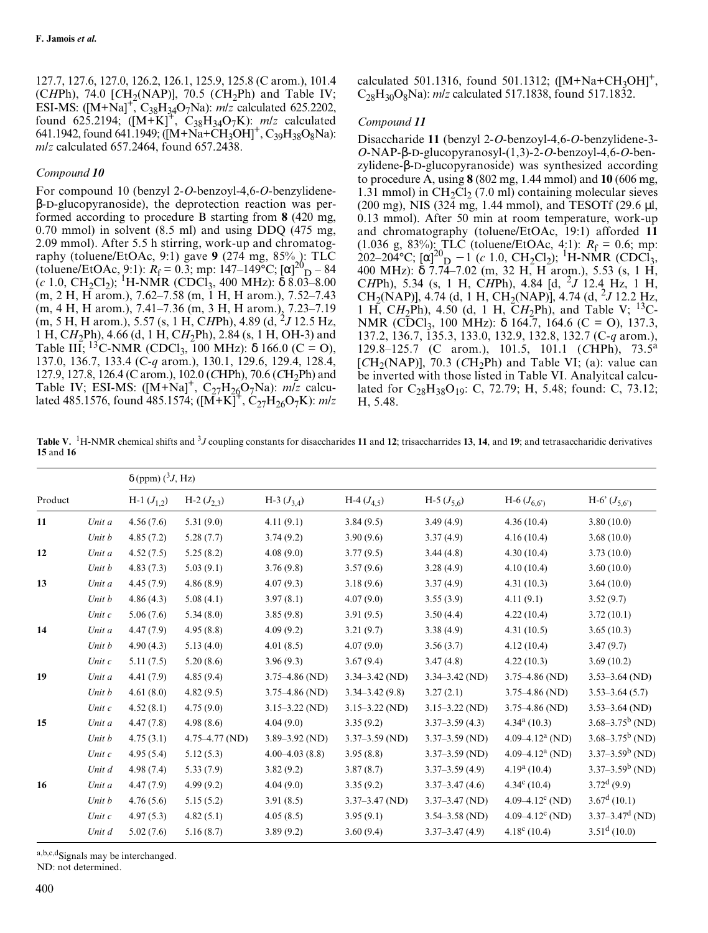127.7, 127.6, 127.0, 126.2, 126.1, 125.9, 125.8 (C arom.), 101.4 (CHPh), 74.0 [CH<sub>2</sub>(NAP)], 70.5 (CH<sub>2</sub>Ph) and Table IV; ESI-MS:  $([M+Na]^+, C_{38}H_{34}O_7Na)$ : *m/z* calculated 625.2202, found 625.2194;  $([M+K]^T, C_{38}H_{34}O_7K)$ : *m/z* calculated 641.1942, found 641.1949; ( $[M+Na+CH_3OH]^+$ , C<sub>39</sub>H<sub>38</sub>O<sub>8</sub>Na): *m/z* calculated 657.2464, found 657.2438.

# *Compound 10*

For compound 10 (benzyl 2-*O*-benzoyl-4,6-*O*-benzylideneβ-D-glucopyranoside), the deprotection reaction was performed according to procedure B starting from **8** (420 mg, 0.70 mmol) in solvent (8.5 ml) and using DDQ (475 mg, 2.09 mmol). After 5.5 h stirring, work-up and chromatography (toluene/EtOAc, 9:1) gave **9** (274 mg, 85% ): TLC (toluene/EtOAc, 9:1):  $R_f = 0.3$ ; mp: 147–149°C;  $[\alpha]_{D}^{20} - 84$  $(c 1.0, CH_2Cl_2);$ <sup>1</sup>H-NMR (CDCl<sub>3</sub>, 400 MHz):  $\delta$  8.03–8.00 (m, 2 H, H arom.), 7.62–7.58 (m, 1 H, H arom.), 7.52–7.43 (m, 4 H, H arom.), 7.41–7.36 (m, 3 H, H arom.), 7.23–7.19 (m, 5 H, H arom.), 5.57 (s, 1 H, CHPh), 4.89 (d, <sup>2</sup>J 12.5 Hz, 1 H, C*H*2Ph), 4.66 (d, 1 H, C*H*2Ph), 2.84 (s, 1 H, OH-3) and Table III; <sup>13</sup>C-NMR (CDCl<sub>3</sub>, 100 MHz):  $\delta$  166.0 (C = O), 137.0, 136.7, 133.4 (C-*q* arom.), 130.1, 129.6, 129.4, 128.4, 127.9, 127.8, 126.4 (C arom.), 102.0 (*C*HPh), 70.6 (*C*H2Ph) and Table IV; ESI-MS:  $([M+Na]^+, C_{27}H_{26}O_7Na)$ : *m/z* calculated 485.1576, found 485.1574;  $([M+K]^+, C_{27}H_{26}O_7K)$ : *m/z* 

calculated 501.1316, found 501.1312;  $([M+Na+CH<sub>3</sub>OH]<sup>+</sup>$ ,  $C_{28}H_{30}O_8$ Na): *m/z* calculated 517.1838, found 517.1832.

## *Compound 11*

Disaccharide **11** (benzyl 2-*O*-benzoyl-4,6-*O*-benzylidene-3- *O*-NAP-β-D-glucopyranosyl-(1,3)-2-*O*-benzoyl-4,6-*O*-benzylidene-β-D-glucopyranoside) was synthesized according to procedure A, using **8** (802 mg, 1.44 mmol) and **10** (606 mg, 1.31 mmol) in  $CH<sub>2</sub>Cl<sub>2</sub>$  (7.0 ml) containing molecular sieves (200 mg), NIS (324 mg, 1.44 mmol), and TESOTf (29.6 µl, 0.13 mmol). After 50 min at room temperature, work-up and chromatography (toluene/EtOAc, 19:1) afforded **11** (1.036 g, 83%): TLC (toluene/EtOAc, 4:1):  $R_f = 0.6$ ; mp:  $\frac{202-204^{\circ}C}{i}$ ; [ $\alpha$ ]<sup>20</sup><sub>D</sub> – 1 (*c* 1.0, CH<sub>2</sub>Cl<sub>2</sub>); <sup>1</sup>H-NMR (CDCl<sub>3</sub>, 400 MHz): δ 7.74–7.02 (m, 32 H, H arom.), 5.53 (s, 1 H, C*H*Ph), 5.34 (s, 1 H, C*H*Ph), 4.84 [d, <sup>2</sup> *J* 12.4 Hz, 1 H, CH<sub>2</sub>(NAP)], 4.74 (d, 1 H, CH<sub>2</sub>(NAP)], 4.74 (d, <sup>2</sup>J 12.2 Hz, 1 H, CH<sub>2</sub>Ph), 4.50 (d, 1 H, CH<sub>2</sub>Ph), and Table V; <sup>13</sup>C-NMR (CDCl<sub>3</sub>, 100 MHz): δ 164.7, 164.6 (C = O), 137.3, 137.2, 136.7, 135.3, 133.0, 132.9, 132.8, 132.7 (C-*q* arom.), 129.8–125.7 (C arom.), 101.5, 101.1 (*C*HPh), 73.5<sup>a</sup>  $[CH<sub>2</sub>(NAP)],$  70.3 ( $CH<sub>2</sub>Ph)$  and Table VI; (a): value can be inverted with those listed in Table VI. Analyitcal calculated for  $C_{28}H_{38}O_{19}$ : C, 72.79; H, 5.48; found: C, 73.12; H, 5.48.

**Table V.** <sup>1</sup> H-NMR chemical shifts and 3*J* coupling constants for disaccharides **11** and **12**; trisaccharrides **13**, **14**, and **19**; and tetrasaccharidic derivatives **15** and **16**

|         |          | $\delta$ (ppm) $(^3J, Hz)$ |                    |                    |                    |                    |                                 |                      |
|---------|----------|----------------------------|--------------------|--------------------|--------------------|--------------------|---------------------------------|----------------------|
| Product |          | H-1 $(J_{1,2})$            | H-2 $(J_{2,3})$    | H-3 $(J_{3,4})$    | $H-4 (J4,5)$       | H-5 $(J_{5,6})$    | H-6 $(J_{6,6})$                 | H-6' $(J_{5,6})$     |
| 11      | Unit a   | 4.56(7.6)                  | 5.31(9.0)          | 4.11(9.1)          | 3.84(9.5)          | 3.49(4.9)          | 4.36(10.4)                      | 3.80(10.0)           |
|         | Unit b   | 4.85(7.2)                  | 5.28(7.7)          | 3.74(9.2)          | 3.90(9.6)          | 3.37(4.9)          | 4.16(10.4)                      | 3.68(10.0)           |
| 12      | Unit a   | 4.52(7.5)                  | 5.25(8.2)          | 4.08(9.0)          | 3.77(9.5)          | 3.44(4.8)          | 4.30(10.4)                      | 3.73(10.0)           |
|         | Unit b   | 4.83(7.3)                  | 5.03(9.1)          | 3.76(9.8)          | 3.57(9.6)          | 3.28(4.9)          | 4.10(10.4)                      | 3.60(10.0)           |
| 13      | Unit a   | 4.45(7.9)                  | 4.86(8.9)          | 4.07(9.3)          | 3.18(9.6)          | 3.37(4.9)          | 4.31(10.3)                      | 3.64(10.0)           |
|         | Unit b   | 4.86(4.3)                  | 5.08(4.1)          | 3.97(8.1)          | 4.07(9.0)          | 3.55(3.9)          | 4.11(9.1)                       | 3.52(9.7)            |
|         | Unit c   | 5.06(7.6)                  | 5.34(8.0)          | 3.85(9.8)          | 3.91(9.5)          | 3.50(4.4)          | 4.22(10.4)                      | 3.72(10.1)           |
| 14      | Unit a   | 4.47(7.9)                  | 4.95(8.8)          | 4.09(9.2)          | 3.21(9.7)          | 3.38(4.9)          | 4.31(10.5)                      | 3.65(10.3)           |
|         | Unit b   | 4.90(4.3)                  | 5.13(4.0)          | 4.01(8.5)          | 4.07(9.0)          | 3.56(3.7)          | 4.12(10.4)                      | 3.47(9.7)            |
|         | Unit $c$ | 5.11(7.5)                  | 5.20(8.6)          | 3.96(9.3)          | 3.67(9.4)          | 3.47(4.8)          | 4.22(10.3)                      | 3.69(10.2)           |
| 19      | Unit a   | 4.41(7.9)                  | 4.85(9.4)          | $3.75 - 4.86$ (ND) | $3.34 - 3.42$ (ND) | $3.34 - 3.42$ (ND) | $3.75 - 4.86$ (ND)              | $3.53 - 3.64$ (ND)   |
|         | Unit b   | 4.61(8.0)                  | 4.82(9.5)          | $3.75 - 4.86$ (ND) | $3.34 - 3.42(9.8)$ | 3.27(2.1)          | $3.75 - 4.86$ (ND)              | $3.53 - 3.64(5.7)$   |
|         | Unit $c$ | 4.52(8.1)                  | 4.75(9.0)          | $3.15 - 3.22$ (ND) | $3.15 - 3.22$ (ND) | $3.15 - 3.22$ (ND) | $3.75 - 4.86$ (ND)              | $3.53 - 3.64$ (ND)   |
| 15      | Unit a   | 4.47(7.8)                  | 4.98(8.6)          | 4.04(9.0)          | 3.35(9.2)          | $3.37 - 3.59(4.3)$ | $4.34a$ (10.3)                  | $3.68 - 3.75^b$ (ND) |
|         | Unit b   | 4.75(3.1)                  | $4.75 - 4.77$ (ND) | $3.89 - 3.92$ (ND) | $3.37 - 3.59$ (ND) | $3.37 - 3.59$ (ND) | 4.09–4.12 <sup>a</sup> (ND)     | $3.68 - 3.75^b$ (ND) |
|         | Unit $c$ | 4.95(5.4)                  | 5.12(5.3)          | $4.00 - 4.03(8.8)$ | 3.95(8.8)          | $3.37 - 3.59$ (ND) | 4.09–4.12 <sup>a</sup> (ND)     | $3.37-3.59b$ (ND)    |
|         | Unit d   | 4.98(7.4)                  | 5.33(7.9)          | 3.82(9.2)          | 3.87(8.7)          | $3.37 - 3.59(4.9)$ | $4.19a$ (10.4)                  | $3.37 - 3.59^b$ (ND) |
| 16      | Unit a   | 4.47(7.9)                  | 4.99(9.2)          | 4.04(9.0)          | 3.35(9.2)          | $3.37 - 3.47(4.6)$ | $4.34^{\circ}$ (10.4)           | $3.72^d(9.9)$        |
|         | Unit b   | 4.76(5.6)                  | 5.15(5.2)          | 3.91(8.5)          | $3.37 - 3.47$ (ND) | $3.37 - 3.47$ (ND) | $4.09 - 4.12$ <sup>c</sup> (ND) | $3.67^d$ (10.1)      |
|         | Unit $c$ | 4.97(5.3)                  | 4.82(5.1)          | 4.05(8.5)          | 3.95(9.1)          | $3.54 - 3.58$ (ND) | 4.09–4.12 $^{\circ}$ (ND)       | $3.37 - 3.47^d$ (ND) |
|         | Unit d   | 5.02(7.6)                  | 5.16(8.7)          | 3.89(9.2)          | 3.60(9.4)          | $3.37 - 3.47(4.9)$ | $4.18^{\circ}$ (10.4)           | $3.51^d(10.0)$       |
|         |          |                            |                    |                    |                    |                    |                                 |                      |

a,b,c,dSignals may be interchanged.

ND: not determined.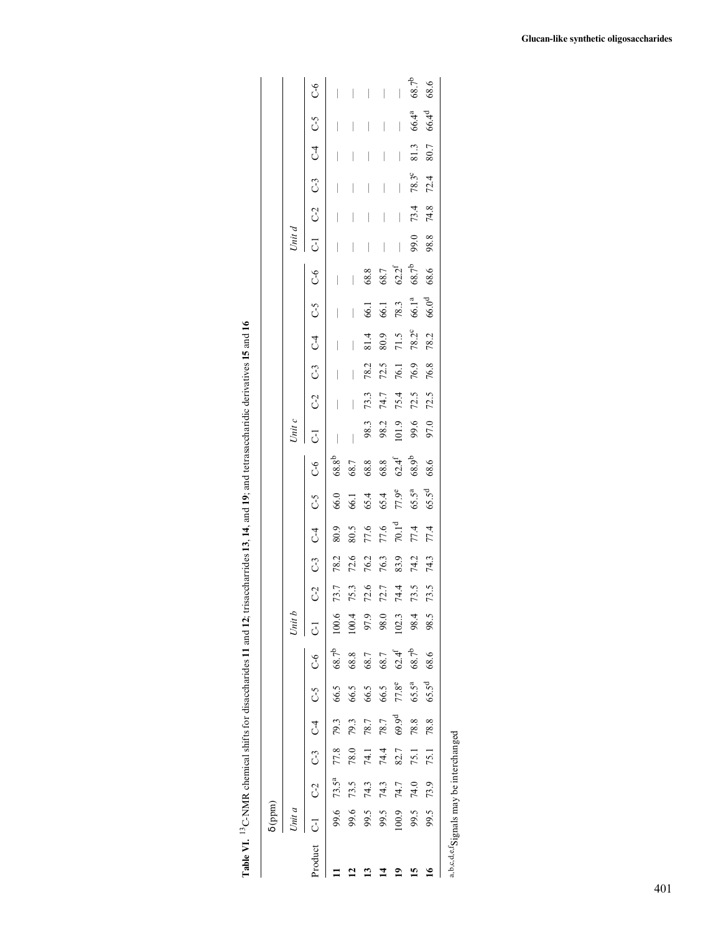| ֚֚֚֚֬                                                       |
|-------------------------------------------------------------|
|                                                             |
|                                                             |
|                                                             |
|                                                             |
|                                                             |
|                                                             |
| ı                                                           |
| J<br>ï                                                      |
|                                                             |
|                                                             |
|                                                             |
|                                                             |
|                                                             |
|                                                             |
|                                                             |
| l                                                           |
|                                                             |
|                                                             |
|                                                             |
|                                                             |
| ֖֖֖֖֖֧ׅׅ֖֧֖֖֧֧ׅ֧֧֚֚֚֚֚֚֚֚֚֚֚֚֚֚֚֚֚֚֚֚֚֚֚֚֚֚֚֚֡֬֝֝֓֝֓֞֝֬֓֝֬֝ |
|                                                             |
|                                                             |
|                                                             |
|                                                             |
|                                                             |
|                                                             |
|                                                             |
|                                                             |
|                                                             |
|                                                             |
|                                                             |
|                                                             |
|                                                             |
|                                                             |
|                                                             |
|                                                             |
|                                                             |
| i<br>$\frac{1}{2}$                                          |
|                                                             |
| l<br>l                                                      |

|                    | $\delta$ (ppm) |                        |      |                   |                         |                     |           |                |             |                                  |                           |                                |                                       |      |      |                         |                                       |                                                                               |                     |      |                |      |                                       |                                       |
|--------------------|----------------|------------------------|------|-------------------|-------------------------|---------------------|-----------|----------------|-------------|----------------------------------|---------------------------|--------------------------------|---------------------------------------|------|------|-------------------------|---------------------------------------|-------------------------------------------------------------------------------|---------------------|------|----------------|------|---------------------------------------|---------------------------------------|
|                    | Unit a         |                        |      |                   |                         |                     | Unit (    |                |             |                                  |                           |                                | Unit c                                |      |      |                         |                                       |                                                                               | Unit d              |      |                |      |                                       |                                       |
| Product            |                |                        |      |                   | C-1 C-2 C-3 C-4 C-5 C-6 |                     | $\vec{c}$ | C <sub>2</sub> | $C-3$ $C-4$ |                                  | $\frac{5}{2}$             | $6-6$                          | $C-1$                                 |      |      | $C-2$ $C-3$ $C-4$ $C-5$ |                                       | ს<br>ს                                                                        | C-1 C-2 C-3 C-4 C-5 |      |                |      |                                       | $C-6$                                 |
|                    |                | 99.6 73.5 <sup>a</sup> | 77.8 | 79.3              | 66.5                    | $68.7^{b}$          | 100.6     | 73.7           | 78.2        | 80.9                             | 66.0                      | 68.8 <sup>b</sup>              | $\begin{array}{c} \hline \end{array}$ |      |      |                         |                                       |                                                                               |                     |      |                |      | I                                     |                                       |
|                    | 99.6           | 73.5                   | 78.0 | 79.3              | 66.5                    | 68.8                | 100.4     | 75.3           | 72.6        | 80.5                             | 66.1                      | 68.7                           |                                       |      |      |                         | $\begin{array}{c} \hline \end{array}$ | $\begin{array}{c} \hline \end{array}$                                         |                     |      |                |      | $\overline{\phantom{a}}$              |                                       |
|                    | 99.5           | 74.3                   | 74.1 | 78.7              | 66.5                    | 68.7                | 97.9      | 72.6           | 76.2        | 77.6                             | 65.4                      | $68.8\,$                       | 98.3                                  | 73.3 | 78.2 | 81.4                    | 66.1                                  | $68.8\,$                                                                      | $\bigg $            |      |                |      |                                       | $\overline{\phantom{a}}$              |
|                    | 99.5           | 74.3                   | 74.4 | 78.7              | 66.5                    | 68.7                | 98.0      | 72.7           | 76.3        |                                  |                           |                                | 98.2                                  | 74.7 | 72.5 | 80.9                    | 66.1                                  |                                                                               |                     |      |                |      |                                       | $\overline{\phantom{a}}$              |
| ≘                  | 100.9          | 74.7                   | 82.7 | 69.9 <sup>d</sup> | $77.8^e$                | $62.4$ <sup>f</sup> | 102.3     | 74.4           | 83.9        | $\frac{77.6}{70.1}$ <sup>d</sup> | 65.4<br>77.9 <sup>e</sup> | $68.8$<br>$62.4^f$<br>$68.9^b$ | 101.9                                 | 75.4 | 76.1 | 71.5                    | 78.3                                  | $\begin{array}{c} 68.7 \\ 62.2^{\mathrm{f}} \\ 68.7^{\mathrm{b}} \end{array}$ |                     |      | I              |      | $\begin{array}{c} \hline \end{array}$ | $\begin{array}{c} \hline \end{array}$ |
| 9                  | 99.5           | 74.0                   | 75.1 | 78.8              | $65.5^{\rm a}$          | $68.7^{b}$          | 98.4      | 73.5           | 74.2        | 77.4                             | $65.5^{a}$<br>$65.5^{d}$  |                                | 99.6                                  | 72.5 | 76.9 | $78.2^{\circ}$          | 66.1 <sup>a</sup>                     |                                                                               | 99.0                | 73.4 | $78.3^{\circ}$ | 81.3 | $66.4^a$                              | $68.7^{b}$                            |
| $\mathbf{\hat{e}}$ | 99.5           | 73.9                   | 75.1 | 78.8              | 65.5 <sup>d</sup>       | 68.6                | 98.5      | 73.5           | 74.3        | 77.4                             |                           | 68.6                           | 97.0                                  | 72.5 | 76.8 | 78.2                    | 66.0 <sup>d</sup>                     | 68.6                                                                          | 98.8                | 74.8 | 72.4           | 80.7 | 66.4 <sup>d</sup>                     | 68.6                                  |
|                    |                |                        |      |                   |                         |                     |           |                |             |                                  |                           |                                |                                       |      |      |                         |                                       |                                                                               |                     |      |                |      |                                       |                                       |

 $\mbox{a,b,c,d,e,f}$  Signals may be interchanged a,b,c,d,e,fSignals may be interchanged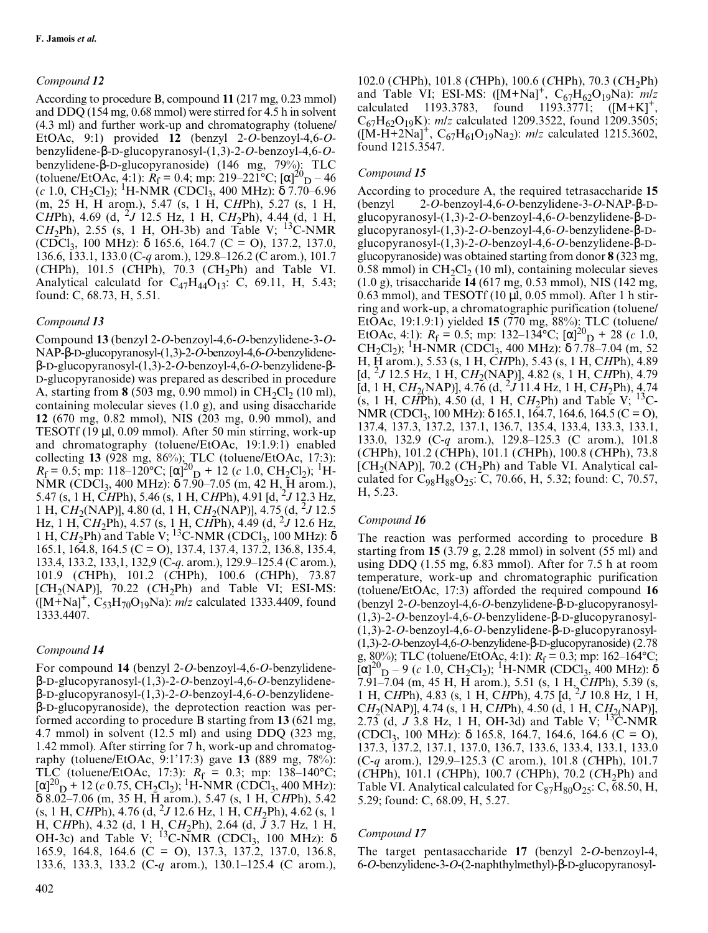# *Compound 12*

According to procedure B, compound **11** (217 mg, 0.23 mmol) and DDQ (154 mg, 0.68 mmol) were stirred for 4.5 h in solvent (4.3 ml) and further work-up and chromatography (toluene/ EtOAc, 9:1) provided **12** (benzyl 2-*O*-benzoyl-4,6-*O*benzylidene-β-D-glucopyranosyl-(1,3)-2-*O*-benzoyl-4,6-*O*benzylidene-β-D-glucopyranoside) (146 mg, 79%): TLC (toluene/EtOAc, 4:1):  $R_f = 0.4$ ; mp: 219–221°C;  $[\alpha]_{D}^{20} - 46$ (*c* 1.0, CH<sub>2</sub>Cl<sub>2</sub>); <sup>1</sup>H-NMR (CDCl<sub>3</sub>, 400 MHz): δ 7.70–6.96 (m, 25 H, H arom.), 5.47 (s, 1 H, C*H*Ph), 5.27 (s, 1 H, <sup>C</sup>*H*Ph), 4.69 (d, 2*J* 12.5 Hz, 1 H, C*H*2Ph), 4.44 (d, 1 H, CH<sub>2</sub>Ph), 2.55 (s, 1 H, OH-3b) and Table V; <sup>13</sup>C-NMR (CDCl<sub>3</sub>, 100 MHz):  $\delta$  165.6, 164.7 (C = O), 137.2, 137.0, 136.6, 133.1, 133.0 (C-*q* arom.), 129.8–126.2 (C arom.), 101.7  $(CHPh)$ , 101.5  $(CHPh)$ , 70.3  $(CH<sub>2</sub>Ph)$  and Table VI. Analytical calculatd for  $C_{47}H_{44}O_{13}$ : C, 69.11, H, 5.43; found: C, 68.73, H, 5.51.

# *Compound 13*

Compound **13** (benzyl 2-*O*-benzoyl-4,6-*O*-benzylidene-3-*O*-NAP-β-D-glucopyranosyl-(1,3)-2-*O*-benzoyl-4,6-*O*-benzylideneβ-D-glucopyranosyl-(1,3)-2-*O*-benzoyl-4,6-*O*-benzylidene-β-D-glucopyranoside) was prepared as described in procedure A, starting from  $8$  (503 mg, 0.90 mmol) in CH<sub>2</sub>Cl<sub>2</sub> (10 ml), containing molecular sieves (1.0 g), and using disaccharide **12** (670 mg, 0.82 mmol), NIS (203 mg, 0.90 mmol), and TESOTf (19 µl, 0.09 mmol). After 50 min stirring, work-up and chromatography (toluene/EtOAc, 19:1.9:1) enabled collecting **13** (928 mg, 86%); TLC (toluene/EtOAc, 17:3):  $R_{\rm f}$  = 0.5; mp: 118–120°C; [α]<sup>20</sup><sub>D</sub> + 12 (*c* 1.0, CH<sub>2</sub>Cl<sub>2</sub>); <sup>1</sup>H-NMR (CDCl<sub>3</sub>, 400 MHz): δ 7.90–7.05 (m, 42 H, H arom.), 5.47 (s, 1 H, CHPh), 5.46 (s, 1 H, CHPh), 4.91 [d, <sup>2</sup>J 12.3 Hz, 1 H, C*H*2(NAP)], 4.80 (d, 1 H, C*H*2(NAP)], 4.75 (d, <sup>2</sup> *J* 12.5 Hz, 1 H, C*H*2Ph), 4.57 (s, 1 H, C*H*Ph), 4.49 (d, <sup>2</sup> *J* 12.6 Hz, 1 H, CH<sub>2</sub>Ph) and Table V; <sup>13</sup>C-NMR (CDCl<sub>3</sub>, 100 MHz):  $\delta$ 165.1, 164.8, 164.5 (C = O), 137.4, 137.4, 137.2, 136.8, 135.4, 133.4, 133.2, 133,1, 132,9 (C-*q*. arom.), 129.9–125.4 (C arom.), 101.9 (*C*HPh), 101.2 (*C*HPh), 100.6 (*C*HPh), 73.87  $[CH<sub>2</sub>(NAP)],$  70.22  $(CH<sub>2</sub>Ph)$  and Table VI; ESI-MS:  $([M+Na]^+, C_{53}H_{70}O_{19}Na)$ : *m/z* calculated 1333.4409, found 1333.4407.

# *Compound 14*

For compound **14** (benzyl 2-*O*-benzoyl-4,6-*O*-benzylideneβ-D-glucopyranosyl-(1,3)-2-*O*-benzoyl-4,6-*O*-benzylideneβ-D-glucopyranosyl-(1,3)-2-*O*-benzoyl-4,6-*O*-benzylideneβ-D-glucopyranoside), the deprotection reaction was performed according to procedure B starting from **13** (621 mg, 4.7 mmol) in solvent (12.5 ml) and using DDQ (323 mg, 1.42 mmol). After stirring for 7 h, work-up and chromatography (toluene/EtOAc, 9:1'17:3) gave **13** (889 mg, 78%): TLC (toluene/EtOAc, 17:3):  $R_f = 0.3$ ; mp: 138-140°C;  $[\alpha]^{20}$ <sub>D</sub> + 12 (*c* 0.75, CH<sub>2</sub>Cl<sub>2</sub>); <sup>1</sup>H-NMR (CDCl<sub>3</sub>, 400 MHz): δ 8.02–7.06 (m, 35 H, H arom.), 5.47 (s, 1 H, C*H*Ph), 5.42 (s, 1 H, C*H*Ph), 4.76 (d, <sup>2</sup> *J* 12.6 Hz, 1 H, C*H*2Ph), 4.62 (s, 1 H, C*H*Ph), 4.32 (d, 1 H, C*H*2Ph), 2.64 (d, *J* 3.7 Hz, 1 H, OH-3c) and Table V;  ${}^{13}$ C-NMR (CDCl<sub>3</sub>, 100 MHz):  $\delta$ 165.9, 164.8, 164.6 (C = O), 137.3, 137.2, 137.0, 136.8, 133.6, 133.3, 133.2 (C-*q* arom.), 130.1–125.4 (C arom.),

102.0 (*C*HPh), 101.8 (*C*HPh), 100.6 (*C*HPh), 70.3 (*C*H2Ph) and Table VI; ESI-MS:  $([M+Na]^+, C_{67}H_{62}O_{19}Na)$ : *mlz* calculated 1193.3783, found 1193.3771;  $([M+K]^+,$ found 1193.3771;  $([M+K]^+,$ C<sub>67</sub>H<sub>62</sub>O<sub>19</sub>K): *m/z* calculated 1209.3522, found 1209.3505;  $([M-H+2Na]<sup>+</sup>, C<sub>67</sub>H<sub>61</sub>O<sub>19</sub>Na<sub>2</sub>)$ : *m/z* calculated 1215.3602, found 1215.3547.

# *Compound 15*

According to procedure A, the required tetrasaccharide **15** (benzyl 2-*O*-benzoyl-4,6-*O*-benzylidene-3-*O*-NAP-β-Dglucopyranosyl-(1,3)-2-*O*-benzoyl-4,6-*O*-benzylidene-β-Dglucopyranosyl-(1,3)-2-*O*-benzoyl-4,6-*O*-benzylidene-β-Dglucopyranosyl-(1,3)-2-*O*-benzoyl-4,6-*O*-benzylidene-β-Dglucopyranoside) was obtained starting from donor **8** (323 mg, 0.58 mmol) in  $CH_2Cl_2$  (10 ml), containing molecular sieves (1.0 g), trisaccharide **14** (617 mg, 0.53 mmol), NIS (142 mg, 0.63 mmol), and TESOTf  $(10 \mu l, 0.05 \text{ mmol})$ . After 1 h stirring and work-up, a chromatographic purification (toluene/ EtOAc, 19:1.9:1) yielded **15** (770 mg, 88%): TLC (toluene/ EtOAc, 4:1):  $R_f = 0.5$ ; mp: 132–134°C;  $[\alpha]_{D}^{20} + 28$  (*c* 1.0, CH<sub>2</sub>Cl<sub>2</sub>); <sup>1</sup>H-NMR (CDCl<sub>3</sub>, 400 MHz):  $\delta$  7.78–7.04 (m, 52) H, H arom.), 5.53 (s, 1 H, C*H*Ph), 5.43 (s, 1 H, C*H*Ph), 4.89 [d, 2*J* 12.5 Hz, 1 H, C*H*2(NAP)], 4.82 (s, 1 H, C*H*Ph), 4.79  $[d, 1 H, CH<sub>2</sub>(NAP)],$  4.76  $(d, 2J11.4 Hz, 1 H, CH<sub>2</sub>Ph),$  4.74 (s, 1 H, CHPh), 4.50 (d, 1 H, CH<sub>2</sub>Ph) and Table V; <sup>13</sup>C-NMR (CDCl<sub>3</sub>, 100 MHz):  $\delta$  165.1, 164.7, 164.6, 164.5 (C = O), 137.4, 137.3, 137.2, 137.1, 136.7, 135.4, 133.4, 133.3, 133.1, 133.0, 132.9 (C-*q* arom.), 129.8–125.3 (C arom.), 101.8 (*C*HPh), 101.2 (*C*HPh), 101.1 (*C*HPh), 100.8 (*C*HPh), 73.8 [CH<sub>2</sub>(NAP)], 70.2 (CH<sub>2</sub>Ph) and Table VI. Analytical calculated for  $C_{98}H_{88}O_{25}$ : C, 70.66, H, 5.32; found: C, 70.57, H, 5.23.

# *Compound 16*

The reaction was performed according to procedure B starting from **15** (3.79 g, 2.28 mmol) in solvent (55 ml) and using DDQ (1.55 mg, 6.83 mmol). After for 7.5 h at room temperature, work-up and chromatographic purification (toluene/EtOAc, 17:3) afforded the required compound **16** (benzyl 2-*O*-benzoyl-4,6-*O*-benzylidene-β-D-glucopyranosyl- (1,3)-2-*O*-benzoyl-4,6-*O*-benzylidene-β-D-glucopyranosyl- (1,3)-2-*O*-benzoyl-4,6-*O*-benzylidene-β-D-glucopyranosyl- (1,3)-2-*O*-benzoyl-4,6-*O*-benzylidene-β-D-glucopyranoside) (2.78 g, 80%); TLC (toluene/EtOAc, 4:1):  $R_f = 0.3$ ; mp: 162–164°C;  $[\alpha]^{20}$ <sub>D</sub> – 9 (*c* 1.0, CH<sub>2</sub>Cl<sub>2</sub>); <sup>1</sup>H-NMR (CDCl<sub>3</sub>, 400 MHz): δ 7.91–7.04 (m, 45 H, H arom.), 5.51 (s, 1 H, C*H*Ph), 5.39 (s, 1 H, C*H*Ph), 4.83 (s, 1 H, C*H*Ph), 4.75 [d, <sup>2</sup> *J* 10.8 Hz, 1 H, C*H*2(NAP)], 4.74 (s, 1 H, C*H*Ph), 4.50 (d, 1 H, C*H*2(NAP)], 2.73 (d, *J* 3.8 Hz, 1 H, OH-3d) and Table V; <sup>13</sup>C-NMR (CDCl<sub>3</sub>, 100 MHz): δ 165.8, 164.7, 164.6, 164.6 (C = O), 137.3, 137.2, 137.1, 137.0, 136.7, 133.6, 133.4, 133.1, 133.0 (C-*q* arom.), 129.9–125.3 (C arom.), 101.8 (*C*HPh), 101.7 (*C*HPh), 101.1 (*C*HPh), 100.7 (*C*HPh), 70.2 (*C*H2Ph) and Table VI. Analytical calculated for  $C_{87}H_{80}O_{25}$ : C, 68.50, H, 5.29; found: C, 68.09, H, 5.27.

# *Compound 17*

The target pentasaccharide **17** (benzyl 2-*O*-benzoyl-4, 6-*O*-benzylidene-3-*O*-(2-naphthylmethyl)-β-D-glucopyranosyl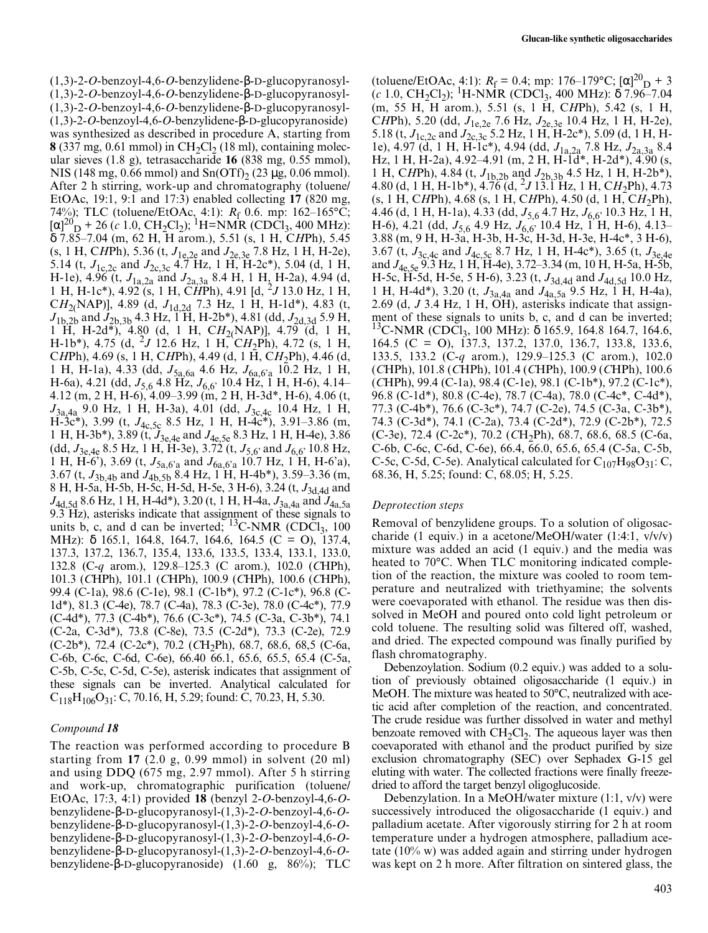(1,3)-2-*O*-benzoyl-4,6-*O*-benzylidene-β-D-glucopyranosyl- (1,3)-2-*O*-benzoyl-4,6-*O*-benzylidene-β-D-glucopyranosyl- (1,3)-2-*O*-benzoyl-4,6-*O*-benzylidene-β-D-glucopyranosyl- (1,3)-2-*O*-benzoyl-4,6-*O*-benzylidene-β-D-glucopyranoside) was synthesized as described in procedure A, starting from **8** (337 mg, 0.61 mmol) in  $CH_2Cl_2$  (18 ml), containing molecular sieves (1.8 g), tetrasaccharide **16** (838 mg, 0.55 mmol), NIS (148 mg, 0.66 mmol) and  $Sn(OTf)$ , (23 µg, 0.06 mmol). After 2 h stirring, work-up and chromatography (toluene/ EtOAc, 19:1, 9:1 and 17:3) enabled collecting **17** (820 mg, 74%); TLC (toluene/EtOAc, 4:1): *R*<sub>f</sub> 0.6. mp: 162–165°C;  $[\alpha]^{20}$ <sub>D</sub> + 26 (*c* 1.0, CH<sub>2</sub>Cl<sub>2</sub>); <sup>1</sup>H=NMR (CDCl<sub>3</sub>, 400 MHz): δ 7.85–7.04 (m, 62 H, H arom.), 5.51 (s, 1 H, C*H*Ph), 5.45 (s, 1 H, C*H*Ph), 5.36 (t, *J*1e,2e and *J*2e,3e 7.8 Hz, 1 H, H-2e), 5.14 (t, *J*1c,2c and *J*2c,3c 4.7 Hz, 1 H, H-2c\*), 5.04 (d, 1 H, H-1e), 4.96 (t, *J*1a,2a and *J*2a,3a 8.4 H, 1 H, H-2a), 4.94 (d, 1 H, H-1c\*), 4.92 (s, 1 H, C*H*Ph), 4.91 [d, 2*J* 13.0 Hz, 1 H, C*H*2(NAP)], 4.89 (d, *J*1d,2d 7.3 Hz, 1 H, H-1d\*), 4.83 (t, *J*1b,2b and *J*2b,3b 4.3 Hz, 1 H, H-2b\*), 4.81 (dd, *J*2d,3d 5.9 H, 1 H, H-2d\*), 4.80 (d, 1 H, C*H*2(NAP)], 4.79 (d, 1 H, H-1b\*), 4.75 (d, 2*J* 12.6 Hz, 1 H, C*H*2Ph), 4.72 (s, 1 H, C*H*Ph), 4.69 (s, 1 H, C*H*Ph), 4.49 (d, 1 H, C*H*2Ph), 4.46 (d, 1 H, H-1a), 4.33 (dd, *J*5a,6a 4.6 Hz, *J*6a,6'a 10.2 Hz, 1 H, H-6a), 4.21 (dd,  $J_{5,6}$  4.8 Hz,  $J_{6,6}$ , 10.4 Hz, 1 H, H-6), 4.14– 4.12 (m, 2 H, H-6), 4.09–3.99 (m, 2 H, H-3d\*, H-6), 4.06 (t, *J*3a,4a 9.0 Hz, 1 H, H-3a), 4.01 (dd, *J*3c,4c 10.4 Hz, 1 H, H-3c\*), 3.99 (t, *J*4c,5c 8.5 Hz, 1 H, H-4c\*), 3.91–3.86 (m, 1 H, H-3b\*), 3.89 (t, *J*3e,4e and *J*4e,5e 8.3 Hz, 1 H, H-4e), 3.86 (dd,  $J_{3e,4e}$  8.5 Hz, 1 H, H-3e), 3.72 (t,  $J_{5,6}$  and  $J_{6,6}$  10.8 Hz, 1 H, H-6'), 3.69 (t, *J*5a,6'a and *J*6a,6'a 10.7 Hz, 1 H, H-6'a), 3.67 (t, *J*3b,4b and *J*4b,5b 8.4 Hz, 1 H, H-4b\*), 3.59–3.36 (m, 8 H, H-5a, H-5b, H-5c, H-5d, H-5e, 3 H-6), 3.24 (t,  $J_{3d,4d}$  and *J*4d,5d 8.6 Hz, 1 H, H-4d\*), 3.20 (t, 1 H, H-4a, *J*3a,4a and *J*4a,5a 9.3 Hz), asterisks indicate that assignment of these signals to units b, c, and d can be inverted;  $^{13}$ C-NMR (CDCl<sub>3</sub>, 100) MHz): δ 165.1, 164.8, 164.7, 164.6, 164.5 (C = O), 137.4, 137.3, 137.2, 136.7, 135.4, 133.6, 133.5, 133.4, 133.1, 133.0, 132.8 (C-*q* arom.), 129.8–125.3 (C arom.), 102.0 (*C*HPh), 101.3 (*C*HPh), 101.1 (*C*HPh), 100.9 (*C*HPh), 100.6 (*C*HPh), 99.4 (C-1a), 98.6 (C-1e), 98.1 (C-1b\*), 97.2 (C-1c\*), 96.8 (C-1d\*), 81.3 (C-4e), 78.7 (C-4a), 78.3 (C-3e), 78.0 (C-4c\*), 77.9 (C-4d\*), 77.3 (C-4b\*), 76.6 (C-3c\*), 74.5 (C-3a, C-3b\*), 74.1 (C-2a, C-3d\*), 73.8 (C-8e), 73.5 (C-2d\*), 73.3 (C-2e), 72.9 (C-2b\*), 72.4 (C-2c\*), 70.2 (*C*H2Ph), 68.7, 68.6, 68,5 (C-6a, C-6b, C-6c, C-6d, C-6e), 66.40 66.1, 65.6, 65.5, 65.4 (C-5a, C-5b, C-5c, C-5d, C-5e), asterisk indicates that assignment of these signals can be inverted. Analytical calculated for  $C_{118}H_{106}O_{31}$ : C, 70.16, H, 5.29; found: C, 70.23, H, 5.30.

## *Compound 18*

The reaction was performed according to procedure B starting from **17** (2.0 g, 0.99 mmol) in solvent (20 ml) and using DDQ (675 mg, 2.97 mmol). After 5 h stirring and work-up, chromatographic purification (toluene/ EtOAc, 17:3, 4:1) provided **18** (benzyl 2-*O*-benzoyl-4,6-*O*benzylidene-β-D-glucopyranosyl-(1,3)-2-*O*-benzoyl-4,6-*O*benzylidene-β-D-glucopyranosyl-(1,3)-2-*O*-benzoyl-4,6-*O*benzylidene-β-D-glucopyranosyl-(1,3)-2-*O*-benzoyl-4,6-*O*benzylidene-β-D-glucopyranosyl-(1,3)-2-*O*-benzoyl-4,6-*O*benzylidene-β-D-glucopyranoside) (1.60 g, 86%); TLC

(toluene/EtOAc, 4:1):  $R_f = 0.4$ ; mp: 176–179°C;  $[\alpha]_{D}^{20} + 3$  $(c$  1.0, CH<sub>2</sub>Cl<sub>2</sub>); <sup>1</sup>H-NMR (CDCl<sub>3</sub>, 400 MHz):  $\delta$  7.96–7.04 (m, 55 H, H arom.), 5.51 (s, 1 H, C*H*Ph), 5.42 (s, 1 H, C*H*Ph), 5.20 (dd, *J*1e,2e 7.6 Hz, *J*2e,3e 10.4 Hz, 1 H, H-2e), 5.18 (t,  $J_{1c,2c}$  and  $J_{2c,3c}$  5.2 Hz, 1 H, H-2c\*), 5.09 (d, 1 H, H-1e), 4.97 (d, 1 H, H-1c\*), 4.94 (dd, *J*1a,2a 7.8 Hz, *J*2a,3a 8.4 Hz, 1 H, H-2a), 4.92–4.91 (m, 2 H, H-1d\*, H-2d\*), 4.90 (s, 1 H, C*H*Ph), 4.84 (t, *J*1b,2b and *J*2b,3b 4.5 Hz, 1 H, H-2b\*), 4.80 (d, 1 H, H-1b\*), 4.76 (d, 2*J* 13.1 Hz, 1 H, C*H*2Ph), 4.73 (s, 1 H, C*H*Ph), 4.68 (s, 1 H, C*H*Ph), 4.50 (d, 1 H, C*H*2Ph), 4.46 (d, 1 H, H-1a), 4.33 (dd,  $J_{5.6}$  4.7 Hz,  $J_{6.6}$ , 10.3 Hz, 1 H, H-6), 4.21 (dd, *J*5,6 4.9 Hz, *J*6,6' 10.4 Hz, 1 H, H-6), 4.13– 3.88 (m, 9 H, H-3a, H-3b, H-3c, H-3d, H-3e, H-4c\*, 3 H-6), 3.67 (t, *J*3c,4c and *J*4c,5c 8.7 Hz, 1 H, H-4c\*), 3.65 (t, *J*3e,4e and *J*4e,5e 9.3 Hz, 1 H, H-4e), 3.72–3.34 (m, 10 H, H-5a, H-5b, H-5c, H-5d, H-5e, 5 H-6), 3.23 (t, *J*3d,4d and *J*4d,5d 10.0 Hz, 1 H, H-4d\*), 3.20 (t, *J*3a,4a and *J*4a,5a 9.5 Hz, 1 H, H-4a), 2.69 (d, *J* 3.4 Hz, 1 H, OH), asterisks indicate that assignment of these signals to units b, c, and d can be inverted;  $^{13}$ C-NMR (CDCl<sub>3</sub>, 100 MHz):  $\delta$  165.9, 164.8 164.7, 164.6, 164.5 (C = O), 137.3, 137.2, 137.0, 136.7, 133.8, 133.6, 133.5, 133.2 (C-*q* arom.), 129.9–125.3 (C arom.), 102.0 (*C*HPh), 101.8 (*C*HPh), 101.4 (*C*HPh), 100.9 (*C*HPh), 100.6 (*C*HPh), 99.4 (C-1a), 98.4 (C-1e), 98.1 (C-1b\*), 97.2 (C-1c\*), 96.8 (C-1d\*), 80.8 (C-4e), 78.7 (C-4a), 78.0 (C-4c\*, C-4d\*), 77.3 (C-4b\*), 76.6 (C-3c\*), 74.7 (C-2e), 74.5 (C-3a, C-3b\*), 74.3 (C-3d\*), 74.1 (C-2a), 73.4 (C-2d\*), 72.9 (C-2b\*), 72.5 (C-3e), 72.4 (C-2c\*), 70.2 (*C*H2Ph), 68.7, 68.6, 68.5 (C-6a, C-6b, C-6c, C-6d, C-6e), 66.4, 66.0, 65.6, 65.4 (C-5a, C-5b, C-5c, C-5d, C-5e). Analytical calculated for  $C_{107}H_{98}O_{31}$ : C, 68.36, H, 5.25; found: C, 68.05; H, 5.25.

## *Deprotection steps*

Removal of benzylidene groups. To a solution of oligosaccharide (1 equiv.) in a acetone/MeOH/water (1:4:1, v/v/v) mixture was added an acid (1 equiv.) and the media was heated to 70°C. When TLC monitoring indicated completion of the reaction, the mixture was cooled to room temperature and neutralized with triethyamine; the solvents were coevaporated with ethanol. The residue was then dissolved in MeOH and poured onto cold light petroleum or cold toluene. The resulting solid was filtered off, washed, and dried. The expected compound was finally purified by flash chromatography.

Debenzoylation. Sodium (0.2 equiv.) was added to a solution of previously obtained oligosaccharide (1 equiv.) in MeOH. The mixture was heated to 50°C, neutralized with acetic acid after completion of the reaction, and concentrated. The crude residue was further dissolved in water and methyl benzoate removed with  $CH<sub>2</sub>Cl<sub>2</sub>$ . The aqueous layer was then coevaporated with ethanol and the product purified by size exclusion chromatography (SEC) over Sephadex G-15 gel eluting with water. The collected fractions were finally freezedried to afford the target benzyl oligoglucoside.

Debenzylation. In a MeOH/water mixture (1:1, v/v) were successively introduced the oligosaccharide (1 equiv.) and palladium acetate. After vigorously stirring for 2 h at room temperature under a hydrogen atmosphere, palladium acetate (10% w) was added again and stirring under hydrogen was kept on 2 h more. After filtration on sintered glass, the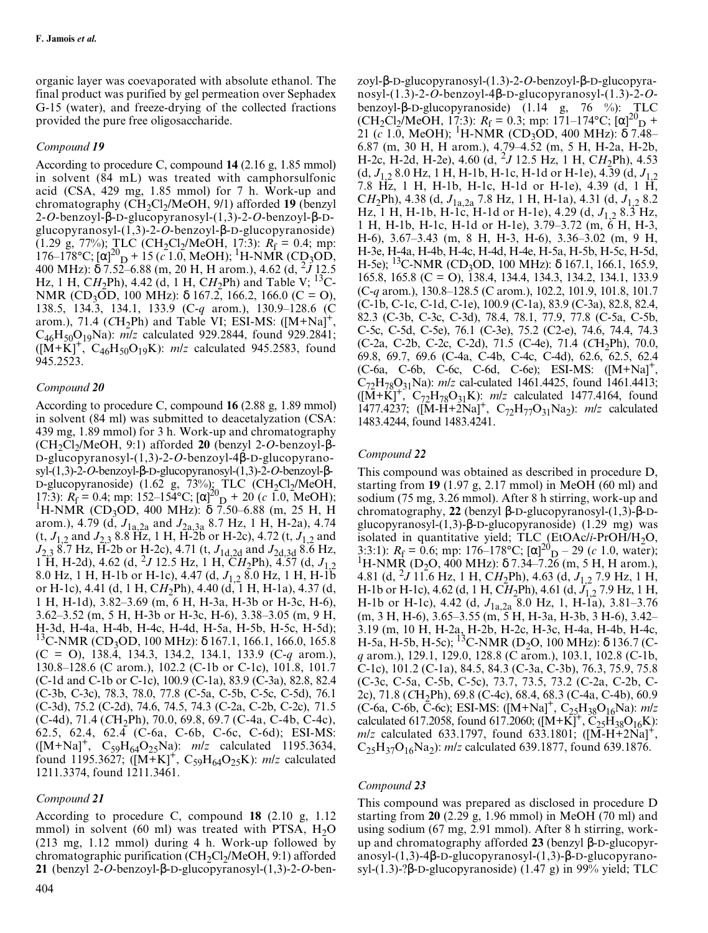organic layer was coevaporated with absolute ethanol. The final product was purified by gel permeation over Sephadex G-15 (water), and freeze-drying of the collected fractions provided the pure free oligosaccharide.

#### *Compound 19*

According to procedure C, compound **14** (2.16 g, 1.85 mmol) in solvent (84 mL) was treated with camphorsulfonic acid (CSA, 429 mg, 1.85 mmol) for 7 h. Work-up and chromatography (CH<sub>2</sub>Cl<sub>2</sub>/MeOH, 9/1) afforded **19** (benzyl 2-*O*-benzoyl-β-D-glucopyranosyl-(1,3)-2-*O*-benzoyl-β-Dglucopyranosyl-(1,3)-2-*O*-benzoyl-β-D-glucopyranoside) (1.29 g, 77%); TLC (CH<sub>2</sub>Cl<sub>2</sub>/MeOH, 17:3):  $R_f = 0.4$ ; mp: 176–178°C; [α]<sup>20</sup><sub>D</sub> + 15 ( $c$  1.0, MeOH); <sup>1</sup>H-NMR (CD<sub>3</sub>OD, 400 MHz): δ 7.52–6.88 (m, 20 H, H arom.), 4.62 (d, 2*J* 12.5 Hz, 1 H, CH<sub>2</sub>Ph), 4.42 (d, 1 H, CH<sub>2</sub>Ph) and Table V; <sup>13</sup>C-NMR (CD<sub>3</sub>OD, 100 MHz): δ 167.2, 166.2, 166.0 (C = O), 138.5, 134.3, 134.1, 133.9 (C-*q* arom.), 130.9–128.6 (C arom.), 71.4 ( $CH<sub>2</sub>Ph$ ) and Table VI; ESI-MS: ( $[M+Na]$ <sup>-</sup> C46H50O19Na): *m/z* calculated 929.2844, found 929.2841;  $([M+K]^+, C_{46}H_{50}O_{19}K)$ : *m/z* calculated 945.2583, found 945.2523.

#### *Compound 20*

According to procedure C, compound **16** (2.88 g, 1.89 mmol) in solvent (84 ml) was submitted to deacetalyzation (CSA: 439 mg, 1.89 mmol) for 3 h. Work-up and chromatography (CH2Cl2/MeOH, 9:1) afforded **20** (benzyl 2-*O*-benzoyl-β-D-glucopyranosyl-(1,3)-2-*O*-benzoyl-4β-D-glucopyranosyl-(1,3)-2-*O*-benzoyl-β-D-glucopyranosyl-(1,3)-2-*O*-benzoyl-β-D-glucopyranoside) (1.62 g, 73%); TLC  $(CH_2Cl_2/MeOH,$ 17:3):  $R_f = 0.4$ ; mp: 152–154°C; [α]<sup>20</sup><sub>D</sub> + 20 (*c* 1.0, MeOH);<br><sup>1</sup>H-NMR (CD<sub>3</sub>OD, 400 MHz): δ 7.50–6.88 (m, 25 H, H arom.), 4.79 (d, *J*1a,2a and *J*2a,3a 8.7 Hz, 1 H, H-2a), 4.74  $(t, J_{1,2} \text{ and } J_{2,3} \text{ 8.8 Hz}, 1 \text{ H}, \text{H-2b or H-2c}), 4.72 (t, J_{1,2} \text{ and } J_{2,3} \text{ 8.8 Hz})$ *J*2,3 8.7 Hz, H-2b or H-2c), 4.71 (t, *J*1d,2d and *J*2d,3d 8.6 Hz, 1 H, H-2d), 4.62 (d, <sup>2</sup>J 12.5 Hz, 1 H,  $CH_2Ph$ ), 4.57 (d,  $J_{1,2}$ ) 8.0 Hz, 1 H, H-1b or H-1c), 4.47 (d, *J*1,2 8.0 Hz, 1 H, H-1b or H-1c), 4.41 (d, 1 H, C*H*2Ph), 4.40 (d, 1 H, H-1a), 4.37 (d, 1 H, H-1d), 3.82–3.69 (m, 6 H, H-3a, H-3b or H-3c, H-6), 3.62–3.52 (m, 5 H, H-3b or H-3c, H-6), 3.38–3.05 (m, 9 H, H-3d, H-4a, H-4b, H-4c, H-4d, H-5a, H-5b, H-5c, H-5d); <sup>13</sup>C-NMR (CD<sub>3</sub>OD, 100 MHz): δ 167.1, 166.1, 166.0, 165.8 (C = O), 138.4, 134.3, 134.2, 134.1, 133.9 (C-*q* arom.), 130.8–128.6 (C arom.), 102.2 (C-1b or C-1c), 101.8, 101.7 (C-1d and C-1b or C-1c), 100.9 (C-1a), 83.9 (C-3a), 82.8, 82.4 (C-3b, C-3c), 78.3, 78.0, 77.8 (C-5a, C-5b, C-5c, C-5d), 76.1 (C-3d), 75.2 (C-2d), 74.6, 74.5, 74.3 (C-2a, C-2b, C-2c), 71.5 (C-4d), 71.4 (*C*H<sub>2</sub>Ph), 70.0, 69.8, 69.7 (C-4a, C-4b, C-4c), 62.5, 62.4, 62.4 (C-6a, C-6b, C-6c, C-6d); ESI-MS:  $([M+Na]^+, C_{59}H_{64}O_{25}Na)$ :  $m/z$  calculated 1195.3634, found 1195.3627;  $([M+K]^+, C_{59}H_{64}O_{25}K)$ : *m/z* calculated 1211.3374, found 1211.3461.

#### *Compound 21*

According to procedure C, compound **18** (2.10 g, 1.12 mmol) in solvent (60 ml) was treated with PTSA,  $H_2O$ (213 mg, 1.12 mmol) during 4 h. Work-up followed by chromatographic purification  $(CH_2Cl_2/MeOH, 9:1)$  afforded **21** (benzyl 2-*O*-benzoyl-β-D-glucopyranosyl-(1,3)-2-*O*-ben-

zoyl-β-D-glucopyranosyl-(1.3)-2-*O*-benzoyl-β-D-glucopyranosyl-(1.3)-2-*O*-benzoyl-4β-D-glucopyranosyl-(1.3)-2-*O*benzoyl-β-D-glucopyranoside) (1.14 g, 76 %): TLC  $(CH_2Cl_2/MeOH, 17.3)$ :  $R_f = 0.3$ ; mp: 171–174°C;  $[\alpha]^{20}D +$ 21 (*c* 1.0, MeOH); <sup>1</sup>H-NMR (CD<sub>3</sub>OD, 400 MHz): δ 7.48– 6.87 (m, 30 H, H arom.), 4.79–4.52 (m, 5 H, H-2a, H-2b, H-2c, H-2d, H-2e), 4.60 (d, <sup>2</sup> *J* 12.5 Hz, 1 H, C*H*2Ph), 4.53 (d, *J*1,2 8.0 Hz, 1 H, H-1b, H-1c, H-1d or H-1e), 4.39 (d, *J*1,2 7.8 Hz, 1 H, H-1b, H-1c, H-1d or H-1e), 4.39 (d, 1 H, C*H*2Ph), 4.38 (d, *J*1a,2a 7.8 Hz, 1 H, H-1a), 4.31 (d, *J*1,2 8.2 Hz, 1 H, H-1b, H-1c, H-1d or H-1e), 4.29 (d,  $J_{1,2}$  8.3 Hz, 1 H, H-1b, H-1c, H-1d or H-1e), 3.79–3.72 (m, 6 H, H-3, H-6), 3.67–3.43 (m, 8 H, H-3, H-6), 3.36–3.02 (m, 9 H, H-3e, H-4a, H-4b, H-4c, H-4d, H-4e, H-5a, H-5b, H-5c, H-5d, H-5e); <sup>13</sup>C-NMR (CD<sub>3</sub>OD, 100 MHz):  $\delta$  167.1, 166.1, 165.9, 165.8, 165.8 (C = O), 138.4, 134.4, 134.3, 134.2, 134.1, 133.9 (C-*q* arom.), 130.8–128.5 (C arom.), 102.2, 101.9, 101.8, 101.7 (C-1b, C-1c, C-1d, C-1e), 100.9 (C-1a), 83.9 (C-3a), 82.8, 82.4, 82.3 (C-3b, C-3c, C-3d), 78.4, 78.1, 77.9, 77.8 (C-5a, C-5b, C-5c, C-5d, C-5e), 76.1 (C-3e), 75.2 (C2-e), 74.6, 74.4, 74.3 (C-2a, C-2b, C-2c, C-2d), 71.5 (C-4e), 71.4 (CH<sub>2</sub>Ph), 70.0, 69.8, 69.7, 69.6 (C-4a, C-4b, C-4c, C-4d), 62.6, 62.5, 62.4 (C-6a, C-6b, C-6c, C-6d, C-6e); ESI-MS: ([M+Na]+, C72H78O31Na): *m/z* cal-culated 1461.4425, found 1461.4413;  $([M+K]^+, C_{72}H_{78}O_{31}K)$ : *m/z* calculated 1477.4164, found 1477.4237;  $([M-H+2Na]^+, C_{72}H_{77}O_{31}Na_2)$ : *m/z* calculated 1483.4244, found 1483.4241.

#### *Compound 22*

This compound was obtained as described in procedure D, starting from **19** (1.97 g, 2.17 mmol) in MeOH (60 ml) and sodium (75 mg, 3.26 mmol). After 8 h stirring, work-up and chromatography, **22** (benzyl β-D-glucopyranosyl-(1,3)-β-Dglucopyranosyl-(1,3)-β-D-glucopyranoside) (1.29 mg) was isolated in quantitative yield; TLC (EtOAc/*i*-PrOH/H<sub>2</sub>O, 3:3:1):  $R_f = 0.6$ ; mp: 176–178°C; [ $\alpha$ ]<sup>20</sup><sub>D</sub> – 29 (*c* 1.0, water);<br><sup>1</sup>H-NMR (D<sub>2</sub>O, 400 MHz): δ 7.34–7.26 (m, 5 H, H arom.), 4.81 (d, <sup>2</sup> *J* 11.6 Hz, 1 H, C*H*2Ph), 4.63 (d, *J*1,2 7.9 Hz, 1 H, H-1b or H-1c), 4.62 (d, 1 H, C*H*2Ph), 4.61 (d, *J*1,2 7.9 Hz, 1 H, H-1b or H-1c), 4.42 (d, *J*1a,2a 8.0 Hz, 1, H-1a), 3.81–3.76 (m, 3 H, H-6), 3.65–3.55 (m, 5 H, H-3a, H-3b, 3 H-6), 3.42– 3.19 (m, 10 H, H-2a, H-2b, H-2c, H-3c, H-4a, H-4b, H-4c, H-5a, H-5b, H-5c); <sup>13</sup>C-NMR (D<sub>2</sub>O, 100 MHz):  $\delta$  136.7 (C*q* arom.), 129.1, 129.0, 128.8 (C arom.), 103.1, 102.8 (C-1b, C-1c), 101.2 (C-1a), 84.5, 84.3 (C-3a, C-3b), 76.3, 75.9, 75.8 (C-3c, C-5a, C-5b, C-5c), 73.7, 73.5, 73.2 (C-2a, C-2b, C-2c), 71.8 (CH<sub>2</sub>Ph), 69.8 (C-4c), 68.4, 68.3 (C-4a, C-4b), 60.9 (C-6a, C-6b, C-6c); ESI-MS: ([M+Na]<sup>+</sup>, C<sub>25</sub>H<sub>38</sub>O<sub>16</sub>Na): *mlz* calculated 617.2058, found 617.2060;  $([M+K]^+, \tilde{C}_{25}H_{38}O_{16}K)$ : *m/z* calculated 633.1797, found 633.1801; ([M-H+2Na]<sup>+</sup>,  $C_{25}H_{37}O_{16}Na_2$ : *m/z* calculated 639.1877, found 639.1876.

#### *Compound 23*

This compound was prepared as disclosed in procedure D starting from **20** (2.29 g, 1.96 mmol) in MeOH (70 ml) and using sodium (67 mg, 2.91 mmol). After 8 h stirring, workup and chromatography afforded **23** (benzyl β-D-glucopyranosyl-(1,3)-4β-D-glucopyranosyl-(1,3)-β-D-glucopyranosyl-(1.3)-?β-D-glucopyranoside) (1.47 g) in 99% yield; TLC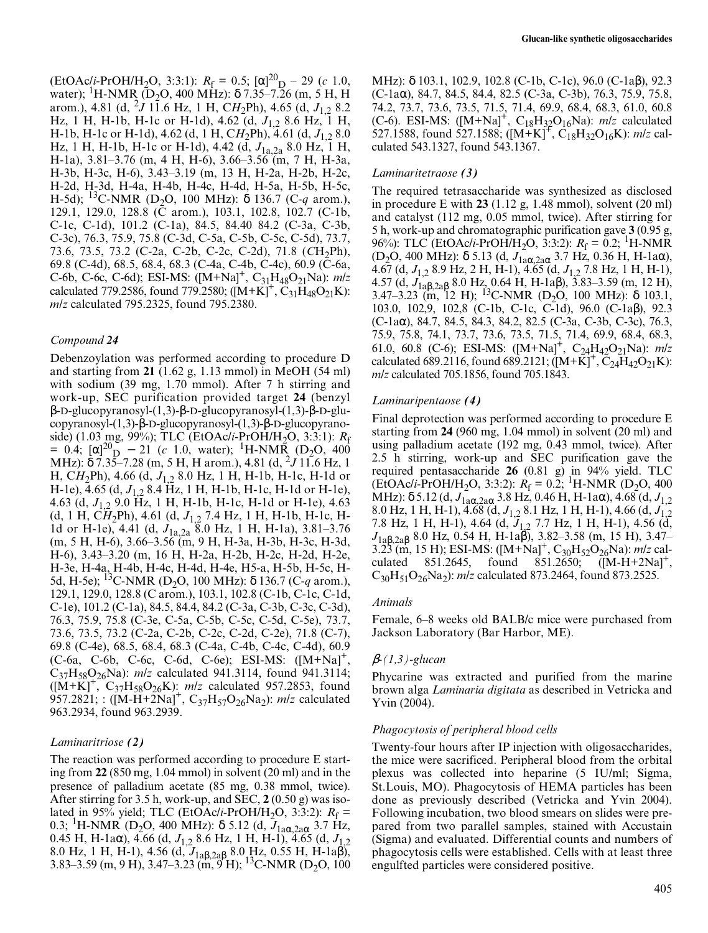$(RtOAc/i-PrOH/H_2O, 3:3:1)$ :  $R_f = 0.5$ ;  $[\alpha]^2D_D - 29$  (*c* 1.0, water); <sup>1</sup>H-NMR (D<sub>2</sub>O, 400 MHz):  $\delta$  7.35–7.26 (m, 5 H, H arom.), 4.81 (d, <sup>2</sup> *J* 11.6 Hz, 1 H, C*H*2Ph), 4.65 (d, *J*1,2 8.2 Hz, 1 H, H-1b, H-1c or H-1d), 4.62 (d, *J*1,2 8.6 Hz, 1 H, H-1b, H-1c or H-1d), 4.62 (d, 1 H, C*H*2Ph), 4.61 (d, *J*1,2 8.0 Hz, 1 H, H-1b, H-1c or H-1d), 4.42 (d,  $J_{1a,2a}$  8.0 Hz, 1 H, H-1a), 3.81–3.76 (m, 4 H, H-6), 3.66–3.56 (m, 7 H, H-3a, H-3b, H-3c, H-6), 3.43–3.19 (m, 13 H, H-2a, H-2b, H-2c, H-2d, H-3d, H-4a, H-4b, H-4c, H-4d, H-5a, H-5b, H-5c, H-5d); 13C-NMR (D2O, 100 MHz): <sup>δ</sup> 136.7 (C-*q* arom.), 129.1, 129.0, 128.8 (C arom.), 103.1, 102.8, 102.7 (C-1b, C-1c, C-1d), 101.2 (C-1a), 84.5, 84.40 84.2 (C-3a, C-3b, C-3c), 76.3, 75.9, 75.8 (C-3d, C-5a, C-5b, C-5c, C-5d), 73.7, 73.6, 73.5, 73.2 (C-2a, C-2b, C-2c, C-2d), 71.8 (CH<sub>2</sub>Ph), 69.8 (C-4d), 68.5, 68.4, 68.3 (C-4a, C-4b, C-4c), 60.9 (C-6a, C-6b, C-6c, C-6d); ESI-MS:  $([M+Na]^+, C_{31}H_{48}O_{21}Na)$ : *mlz* calculated 779.2586, found 779.2580;  $([M+K]^+, \tilde{C}_{31}H_{48}O_{21}K)$ : *m/z* calculated 795.2325, found 795.2380.

#### *Compound 24*

Debenzoylation was performed according to procedure D and starting from **21** (1.62 g, 1.13 mmol) in MeOH (54 ml) with sodium (39 mg, 1.70 mmol). After 7 h stirring and work-up, SEC purification provided target **24** (benzyl β-D-glucopyranosyl-(1,3)-β-D-glucopyranosyl-(1,3)-β-D-glucopyranosyl-(1,3)-β-D-glucopyranosyl-(1,3)-β-D-glucopyranoside) (1.03 mg, 99%); TLC (EtOAc/*i*-PrOH/H<sub>2</sub>O, 3:3:1): *R*<sub>f</sub> = 0.4;  $[\alpha]_{D}^{20}$  – 21 (*c* 1.0, water); <sup>1</sup>H-NMR<sub>2</sub> (D<sub>2</sub>O, 400 MHz): δ 7.35–7.28 (m, 5 H, H arom.), 4.81 (d, 2*J* 11.6 Hz, 1 H, C*H*2Ph), 4.66 (d, *J*1,2 8.0 Hz, 1 H, H-1b, H-1c, H-1d or H-1e), 4.65 (d, *J*1,2 8.4 Hz, 1 H, H-1b, H-1c, H-1d or H-1e), 4.63 (d, *J*1,2 9.0 Hz, 1 H, H-1b, H-1c, H-1d or H-1e), 4.63 (d, 1 H, C*H*2Ph), 4.61 (d, *J*1,2 7.4 Hz, 1 H, H-1b, H-1c, H-1d or H-1e), 4.41 (d, *J*1a,2a 8.0 Hz, 1 H, H-1a), 3.81–3.76 (m, 5 H, H-6), 3.66–3.56 (m, 9 H, H-3a, H-3b, H-3c, H-3d, H-6), 3.43–3.20 (m, 16 H, H-2a, H-2b, H-2c, H-2d, H-2e, H-3e, H-4a, H-4b, H-4c, H-4d, H-4e, H5-a, H-5b, H-5c, H-5d, H-5e); <sup>13</sup>C-NMR (D<sub>2</sub>O, 100 MHz): δ 136.7 (C-*q* arom.), 129.1, 129.0, 128.8 (C arom.), 103.1, 102.8 (C-1b, C-1c, C-1d, C-1e), 101.2 (C-1a), 84.5, 84.4, 84.2 (C-3a, C-3b, C-3c, C-3d), 76.3, 75.9, 75.8 (C-3e, C-5a, C-5b, C-5c, C-5d, C-5e), 73.7, 73.6, 73.5, 73.2 (C-2a, C-2b, C-2c, C-2d, C-2e), 71.8 (C-7), 69.8 (C-4e), 68.5, 68.4, 68.3 (C-4a, C-4b, C-4c, C-4d), 60.9 (C-6a, C-6b, C-6c, C-6d, C-6e); ESI-MS: ([M+Na]+, C<sub>37</sub>H<sub>58</sub>O<sub>26</sub>Na): *m/z* calculated 941.3114, found 941.3114;  $([M+K]^T, C_{37}H_{58}O_{26}K)$ : *m/z* calculated 957.2853, found 957.2821; : ([M-H+2Na]<sup>+</sup>, C<sub>37</sub>H<sub>57</sub>O<sub>26</sub>Na<sub>2</sub>): *m/z* calculated 963.2934, found 963.2939.

#### *Laminaritriose (2)*

The reaction was performed according to procedure E starting from **22** (850 mg, 1.04 mmol) in solvent (20 ml) and in the presence of palladium acetate (85 mg, 0.38 mmol, twice). After stirring for 3.5 h, work-up, and SEC, **2** (0.50 g) was isolated in 95% yield; TLC (EtOAc/*i*-PrOH/H<sub>2</sub>O, 3:3:2):  $R_f$  = 0.3; <sup>1</sup>H-NMR (D<sub>2</sub>O, 400 MHz): δ 5.12 (d,  $J_{1a\alpha,2a\alpha}$  3.7 Hz, 0.45 H, H-1aα), 4.66 (d, *J*1,2 8.6 Hz, 1 H, H-1), 4.65 (d, *J*1,2 8.0 Hz, 1 H, H-1), 4.56 (d, *J*1aβ,2aβ 8.0 Hz, 0.55 H, H-1aβ), 3.83–3.59 (m, 9 H), 3.47–3.23 (m, 9 H); <sup>13</sup>C-NMR (D<sub>2</sub>O, 100

MHz): δ 103.1, 102.9, 102.8 (C-1b, C-1c), 96.0 (C-1aβ), 92.3 (C-1aα), 84.7, 84.5, 84.4, 82.5 (C-3a, C-3b), 76.3, 75.9, 75.8, 74.2, 73.7, 73.6, 73.5, 71.5, 71.4, 69.9, 68.4, 68.3, 61.0, 60.8 (C-6). ESI-MS:  $([M+Na]^+, C_{18}H_{32}O_{16}Na)$ : *m/z* calculated 527.1588, found 527.1588; ( $[M+K]^+$ , C<sub>18</sub>H<sub>32</sub>O<sub>16</sub>K): *m/z* calculated 543.1327, found 543.1367.

### *Laminaritetraose (3)*

The required tetrasaccharide was synthesized as disclosed in procedure E with **23** (1.12 g, 1.48 mmol), solvent (20 ml) and catalyst (112 mg, 0.05 mmol, twice). After stirring for 5 h, work-up and chromatographic purification gave **3** (0.95 g, 96%): TLC (EtOAc/*i*-PrOH/H<sub>2</sub>O, 3:3:2): *R*<sub>f</sub> = 0.2; <sup>1</sup>H-NMR (D2O, 400 MHz): δ 5.13 (d, *J*1aα,2aα 3.7 Hz, 0.36 H, H-1aα), 4.67 (d, *J*1,2 8.9 Hz, 2 H, H-1), 4.65 (d, *J*1,2 7.8 Hz, 1 H, H-1), 4.57 (d, *J*1aβ,2aβ 8.0 Hz, 0.64 H, H-1aβ), 3.83–3.59 (m, 12 H), 3.47–3.23 (m, 12 H);  $^{13}$ C-NMR (D<sub>2</sub>O, 100 MHz): δ 103.1, 103.0, 102,9, 102,8 (C-1b, C-1c, C-1d), 96.0 (C-1aβ), 92.3 (C-1aα), 84.7, 84.5, 84.3, 84.2, 82.5 (C-3a, C-3b, C-3c), 76.3, 75.9, 75.8, 74.1, 73.7, 73.6, 73.5, 71.5, 71.4, 69.9, 68.4, 68.3, 61.0, 60.8 (C-6); ESI-MS:  $([M+Na]^+, C_{24}H_{42}O_{21}Na)$ : *mlz* calculated 689.2116, found 689.2121;  $([M+K]^+, C_{24}H_{42}O_{21}K)$ : *m/z* calculated 705.1856, found 705.1843.

#### *Laminaripentaose (4)*

Final deprotection was performed according to procedure E starting from **24** (960 mg, 1.04 mmol) in solvent (20 ml) and using palladium acetate (192 mg, 0.43 mmol, twice). After 2.5 h stirring, work-up and SEC purification gave the required pentasaccharide **26** (0.81 g) in 94% yield. TLC  $(EtoAchi-ProH/H<sub>2</sub>O, 3:3:2)$ :  $R_f = 0.2$ ; <sup>1</sup>H-NMR (D<sub>2</sub>O, 400 MHz): δ 5.12 (d, *J*1aα,2aα 3.8 Hz, 0.46 H, H-1aα), 4.68 (d, *J*1,2 8.0 Hz, 1 H, H-1), 4.68 (d, *J*1,2 8.1 Hz, 1 H, H-1), 4.66 (d, *J*1,2 7.8 Hz, 1 H, H-1), 4.64 (d, *J*1,2 7.7 Hz, 1 H, H-1), 4.56 (d, *J*1aβ,2aβ 8.0 Hz, 0.54 H, H-1aβ), 3.82–3.58 (m, 15 H), 3.47– 3.23 (m, 15 H); ESI-MS:  $([M+Na]^+, C_{30}H_{52}O_{26}Na)$ : *m/z* cal-<br>culated 851.2645, found 851.2650;  $([M-H+2Na]^+,$ found 851.2650;  $([M-H+2Na]^+,$  $C_{30}H_{51}O_{26}Na_2$ : *m/z* calculated 873.2464, found 873.2525.

## *Animals*

Female, 6–8 weeks old BALB/c mice were purchased from Jackson Laboratory (Bar Harbor, ME).

## β*-(1,3)-glucan*

Phycarine was extracted and purified from the marine brown alga *Laminaria digitata* as described in Vetricka and Yvin (2004).

#### *Phagocytosis of peripheral blood cells*

Twenty-four hours after IP injection with oligosaccharides, the mice were sacrificed. Peripheral blood from the orbital plexus was collected into heparine (5 IU/ml; Sigma, St.Louis, MO). Phagocytosis of HEMA particles has been done as previously described (Vetricka and Yvin 2004). Following incubation, two blood smears on slides were prepared from two parallel samples, stained with Accustain (Sigma) and evaluated. Differential counts and numbers of phagocytosis cells were established. Cells with at least three engulfted particles were considered positive.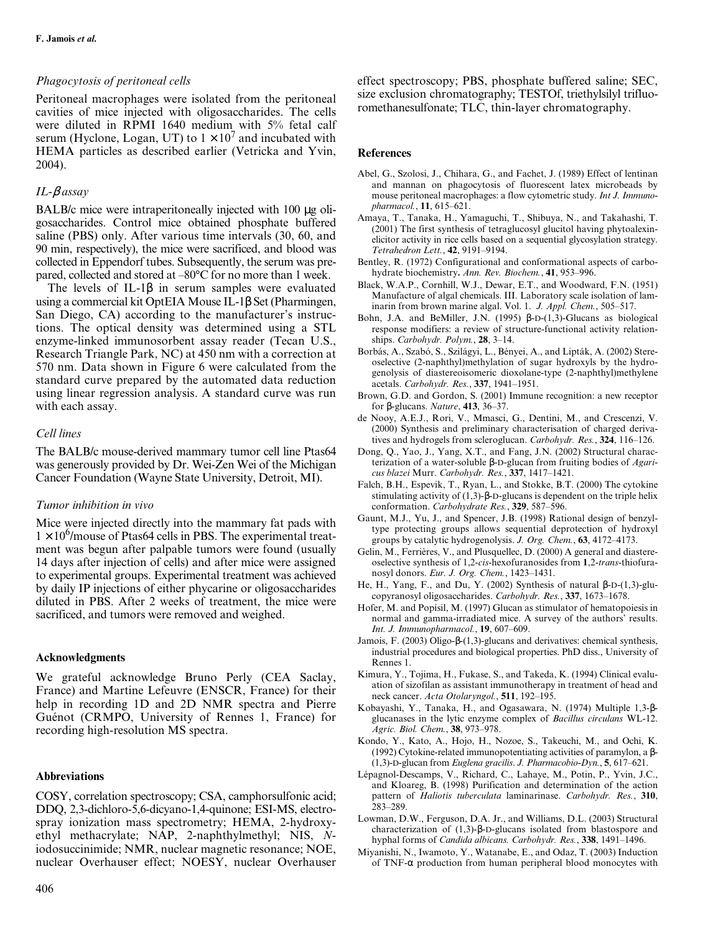## *Phagocytosis of peritoneal cells*

Peritoneal macrophages were isolated from the peritoneal cavities of mice injected with oligosaccharides. The cells were diluted in RPMI 1640 medium with 5% fetal calf serum (Hyclone, Logan, UT) to  $1 \times 10^7$  and incubated with HEMA particles as described earlier (Vetricka and Yvin, 2004).

### *IL-*β *assay*

BALB/c mice were intraperitoneally injected with 100 µg oligosaccharides. Control mice obtained phosphate buffered saline (PBS) only. After various time intervals (30, 60, and 90 min, respectively), the mice were sacrificed, and blood was collected in Eppendorf tubes. Subsequently, the serum was prepared, collected and stored at –80°C for no more than 1 week.

The levels of IL-1β in serum samples were evaluated using a commercial kit OptEIA Mouse IL-1β Set (Pharmingen, San Diego, CA) according to the manufacturer's instructions. The optical density was determined using a STL enzyme-linked immunosorbent assay reader (Tecan U.S., Research Triangle Park, NC) at 450 nm with a correction at 570 nm. Data shown in Figure 6 were calculated from the standard curve prepared by the automated data reduction using linear regression analysis. A standard curve was run with each assay.

# *Cell lines*

The BALB/c mouse-derived mammary tumor cell line Ptas64 was generously provided by Dr. Wei-Zen Wei of the Michigan Cancer Foundation (Wayne State University, Detroit, MI).

#### *Tumor inhibition in vivo*

Mice were injected directly into the mammary fat pads with  $1 \times 10^6$ /mouse of Ptas64 cells in PBS. The experimental treatment was begun after palpable tumors were found (usually 14 days after injection of cells) and after mice were assigned to experimental groups. Experimental treatment was achieved by daily IP injections of either phycarine or oligosaccharides diluted in PBS. After 2 weeks of treatment, the mice were sacrificed, and tumors were removed and weighed.

## **Acknowledgments**

We grateful acknowledge Bruno Perly (CEA Saclay, France) and Martine Lefeuvre (ENSCR, France) for their help in recording 1D and 2D NMR spectra and Pierre Guénot (CRMPO, University of Rennes 1, France) for recording high-resolution MS spectra.

#### **Abbreviations**

COSY, correlation spectroscopy; CSA, camphorsulfonic acid; DDQ, 2,3-dichloro-5,6-dicyano-1,4-quinone; ESI-MS, electrospray ionization mass spectrometry; HEMA, 2-hydroxyethyl methacrylate; NAP, 2-naphthylmethyl; NIS, *N*iodosuccinimide; NMR, nuclear magnetic resonance; NOE, nuclear Overhauser effect; NOESY, nuclear Overhauser effect spectroscopy; PBS, phosphate buffered saline; SEC, size exclusion chromatography; TESTOf, triethylsilyl trifluoromethanesulfonate; TLC, thin-layer chromatography.

#### **References**

- Abel, G., Szolosi, J., Chihara, G., and Fachet, J. (1989) Effect of lentinan and mannan on phagocytosis of fluorescent latex microbeads by mouse peritoneal macrophages: a flow cytometric study. *Int J. Immunopharmacol.*, **11**, 615–621.
- Amaya, T., Tanaka, H., Yamaguchi, T., Shibuya, N., and Takahashi, T. (2001) The first synthesis of tetraglucosyl glucitol having phytoalexinelicitor activity in rice cells based on a sequential glycosylation strategy. *Tetrahedron Lett.*, **42**, 9191–9194.
- Bentley, R. (1972) Configurational and conformational aspects of carbohydrate biochemistry**.** *Ann. Rev. Biochem.*, **41**, 953–996.
- Black, W.A.P., Cornhill, W.J., Dewar, E.T., and Woodward, F.N. (1951) Manufacture of algal chemicals. III. Laboratory scale isolation of laminarin from brown marine algal. Vol. 1. *J. Appl. Chem.*, 505–517.
- Bohn, J.A. and BeMiller, J.N. (1995) β-D-(1,3)-Glucans as biological response modifiers: a review of structure-functional activity relationships. *Carbohydr. Polym.*, **28**, 3–14.
- Borbás, A., Szabó, S., Szilágyi, L., Bényei, A., and Lipták, A. (2002) Stereoselective (2-naphthyl)methylation of sugar hydroxyls by the hydrogenolysis of diastereoisomeric dioxolane-type (2-naphthyl)methylene acetals. *Carbohydr. Res.*, **337**, 1941–1951.
- Brown, G.D. and Gordon, S. (2001) Immune recognition: a new receptor for β-glucans. *Nature*, **413**, 36–37.
- de Nooy, A.E.J., Rori, V., Mmasci, G., Dentini, M., and Crescenzi, V. (2000) Synthesis and preliminary characterisation of charged derivatives and hydrogels from scleroglucan. *Carbohydr. Res.*, **324**, 116–126.
- Dong, Q., Yao, J., Yang, X.T., and Fang, J.N. (2002) Structural characterization of a water-soluble β-D-glucan from fruiting bodies of *Agaricus blazei* Murr. *Carbohydr. Res.*, **337**, 1417–1421.
- Falch, B.H., Espevik, T., Ryan, L., and Stokke, B.T. (2000) The cytokine stimulating activity of  $(1,3)$ -β-D-glucans is dependent on the triple helix conformation. *Carbohydrate Res.*, **329**, 587–596.
- Gaunt, M.J., Yu, J., and Spencer, J.B. (1998) Rational design of benzyltype protecting groups allows sequential deprotection of hydroxyl groups by catalytic hydrogenolysis. *J. Org. Chem.*, **63**, 4172–4173.
- Gelin, M., Ferrières, V., and Plusquellec, D. (2000) A general and diastereoselective synthesis of 1,2-*cis*-hexofuranosides from **1**,2-*trans*-thiofuranosyl donors. *Eur. J. Org. Chem.*, 1423–1431.
- He, H., Yang, F., and Du, Y. (2002) Synthesis of natural β-D-(1,3)-glucopyranosyl oligosaccharides. *Carbohydr. Res.*, **337**, 1673–1678.
- Hofer, M. and Popísil, M. (1997) Glucan as stimulator of hematopoiesis in normal and gamma-irradiated mice. A survey of the authors' results. *Int. J. Immunopharmacol.*, **19**, 607–609.
- Jamois, F. (2003) Oligo-β-(1,3)-glucans and derivatives: chemical synthesis, industrial procedures and biological properties. PhD diss., University of Rennes 1.
- Kimura, Y., Tojima, H., Fukase, S., and Takeda, K. (1994) Clinical evaluation of sizofilan as assistant immunotherapy in treatment of head and neck cancer. *Acta Otolaryngol.*, **511**, 192–195.
- Kobayashi, Y., Tanaka, H., and Ogasawara, N. (1974) Multiple 1,3-βglucanases in the lytic enzyme complex of *Bacillus circulans* WL-12. *Agric. Biol. Chem.*, **38**, 973–978.
- Kondo, Y., Kato, A., Hojo, H., Nozoe, S., Takeuchi, M., and Ochi, K. (1992) Cytokine-related immunopotentiating activities of paramylon, a β- (1,3)-D-glucan from *Euglena gracilis*. *J. Pharmacobio-Dyn.*, **5**, 617–621.
- Lépagnol-Descamps, V., Richard, C., Lahaye, M., Potin, P., Yvin, J.C., and Kloareg, B. (1998) Purification and determination of the action pattern of *Haliotis tuberculata* laminarinase. *Carbohydr. Res.*, **310**,  $283 - 289$
- Lowman, D.W., Ferguson, D.A. Jr., and Williams, D.L. (2003) Structural characterization of (1,3)-β-D-glucans isolated from blastospore and hyphal forms of *Candida albicans. Carbohydr. Res.*, **338**, 1491–1496.
- Miyanishi, N., Iwamoto, Y., Watanabe, E., and Odaz, T. (2003) Induction of TNF-α production from human peripheral blood monocytes with